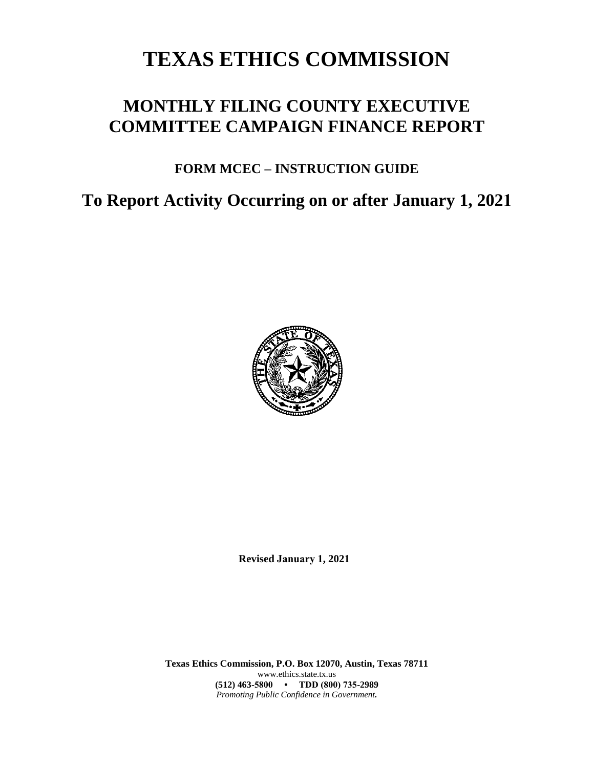# **TEXAS ETHICS COMMISSION**

# **MONTHLY FILING COUNTY EXECUTIVE COMMITTEE CAMPAIGN FINANCE REPORT**

# **FORM MCEC – INSTRUCTION GUIDE**

**To Report Activity Occurring on or after January 1, 2021**



**Revised January 1, 2021**

**Texas Ethics Commission, P.O. Box 12070, Austin, Texas 78711** www.ethics.state.tx.us **(512) 463-5800 • TDD (800) 735-2989** *Promoting Public Confidence in Government.*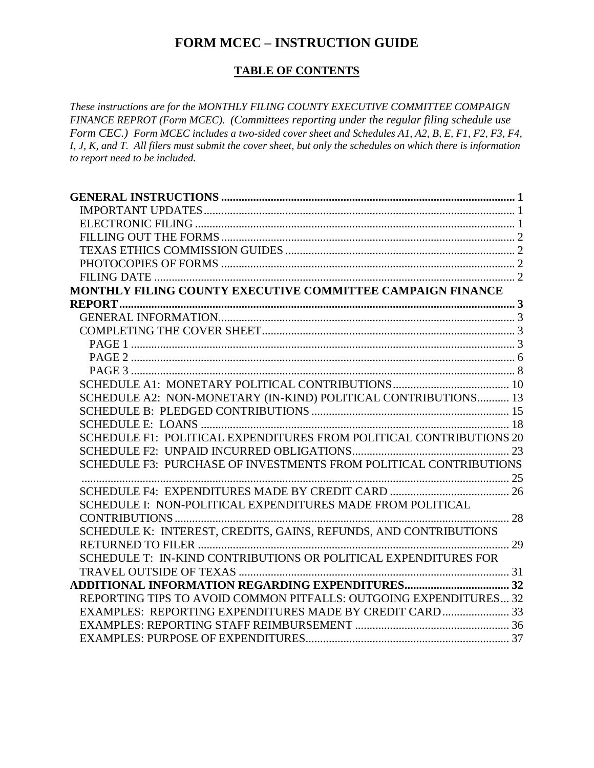### **FORM MCEC – INSTRUCTION GUIDE**

### **TABLE OF CONTENTS**

*These instructions are for the MONTHLY FILING COUNTY EXECUTIVE COMMITTEE COMPAIGN FINANCE REPROT (Form MCEC). (Committees reporting under the regular filing schedule use Form CEC.) Form MCEC includes a two-sided cover sheet and Schedules A1, A2, B, E, F1, F2, F3, F4, I, J, K, and T. All filers must submit the cover sheet, but only the schedules on which there is information to report need to be included.*

| MONTHLY FILING COUNTY EXECUTIVE COMMITTEE CAMPAIGN FINANCE          |  |
|---------------------------------------------------------------------|--|
|                                                                     |  |
|                                                                     |  |
|                                                                     |  |
|                                                                     |  |
|                                                                     |  |
|                                                                     |  |
|                                                                     |  |
| SCHEDULE A2: NON-MONETARY (IN-KIND) POLITICAL CONTRIBUTIONS 13      |  |
|                                                                     |  |
|                                                                     |  |
| SCHEDULE F1: POLITICAL EXPENDITURES FROM POLITICAL CONTRIBUTIONS 20 |  |
|                                                                     |  |
| SCHEDULE F3: PURCHASE OF INVESTMENTS FROM POLITICAL CONTRIBUTIONS   |  |
|                                                                     |  |
|                                                                     |  |
| SCHEDULE I: NON-POLITICAL EXPENDITURES MADE FROM POLITICAL          |  |
|                                                                     |  |
| SCHEDULE K: INTEREST, CREDITS, GAINS, REFUNDS, AND CONTRIBUTIONS    |  |
|                                                                     |  |
| SCHEDULE T: IN-KIND CONTRIBUTIONS OR POLITICAL EXPENDITURES FOR     |  |
|                                                                     |  |
|                                                                     |  |
| REPORTING TIPS TO AVOID COMMON PITFALLS: OUTGOING EXPENDITURES 32   |  |
| EXAMPLES: REPORTING EXPENDITURES MADE BY CREDIT CARD 33             |  |
|                                                                     |  |
|                                                                     |  |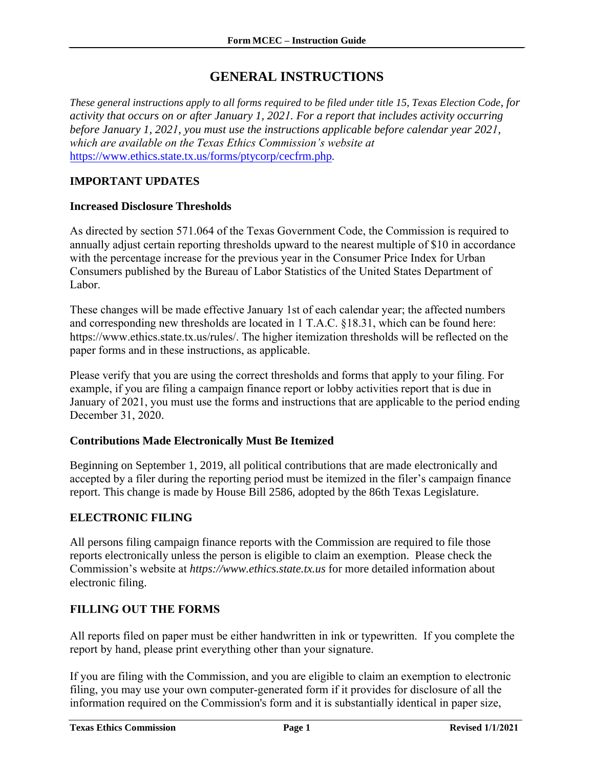### **GENERAL INSTRUCTIONS**

<span id="page-2-0"></span>*These general instructions apply to all forms required to be filed under title 15, Texas Election Code, for activity that occurs on or after January 1, 2021. For a report that includes activity occurring before January 1, 2021, you must use the instructions applicable before calendar year 2021, which are available on the Texas Ethics Commission's website at*  <https://www.ethics.state.tx.us/forms/ptycorp/cecfrm.php>*.*

#### <span id="page-2-1"></span>**IMPORTANT UPDATES**

#### **Increased Disclosure Thresholds**

As directed by section 571.064 of the Texas Government Code, the Commission is required to annually adjust certain reporting thresholds upward to the nearest multiple of \$10 in accordance with the percentage increase for the previous year in the Consumer Price Index for Urban Consumers published by the Bureau of Labor Statistics of the United States Department of Labor.

These changes will be made effective January 1st of each calendar year; the affected numbers and corresponding new thres[holds are located in 1 T.A.C. §18.31, which can be found here:](https://www.ethics.state.tx.us/rules/adopted/2016-2020/adopted_Mar_2019.php)  https://www.ethics.state.tx.us/rules/. The higher itemization thresholds will be reflected on the [paper forms and in these instru](https://www.ethics.state.tx.us/rules/adopted/2016-2020/adopted_Mar_2019.php)ctions, as applicable.

Please verify that you are using the correct thresholds and forms that apply to your filing. For example, if you are filing a campaign finance report or lobby activities report that is due in January of 2021, you must use the forms and instructions that are applicable to the period ending December 31, 2020.

#### **Contributions Made Electronically Must Be Itemized**

Beginning on September 1, 2019, all political contributions that are made electronically and accepted by a filer during the reporting period must be itemized in the filer's campaign finance report. This change is made by House Bill 2586, adopted by the 86th Texas Legislature.

#### **ELECTRONIC FILING**

All persons filing campaign finance reports with the Commission are required to file those reports electronically unless the person is eligible to claim an exemption. Please check the Commission's website at *https://www.ethics.state.tx.us* for more detailed information about electronic filing.

#### **FILLING OUT THE FORMS**

<span id="page-2-2"></span>All reports filed on paper must be either handwritten in ink or typewritten. If you complete the report by hand, please print everything other than your signature.

If you are filing with the Commission, and you are eligible to claim an exemption to electronic filing, you may use your own computer-generated form if it provides for disclosure of all the information required on the Commission's form and it is substantially identical in paper size,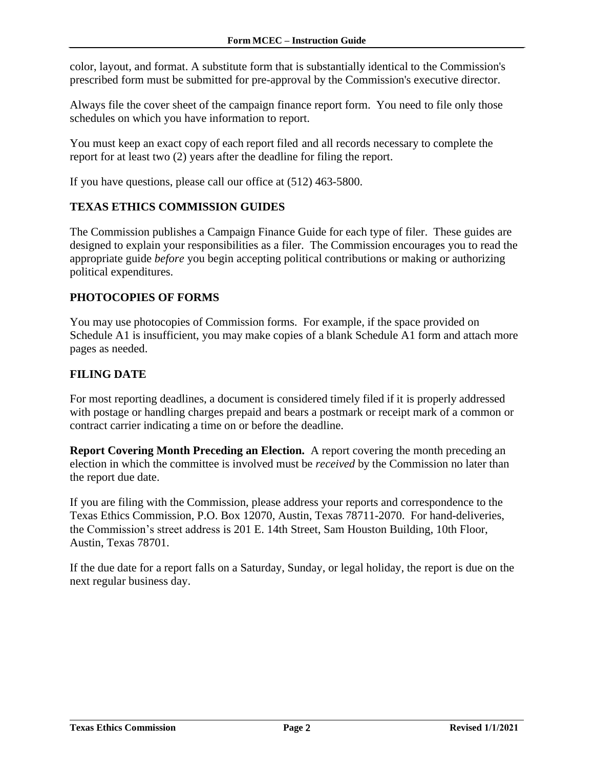<span id="page-3-0"></span>color, layout, and format. A substitute form that is substantially identical to the Commission's prescribed form must be submitted for pre-approval by the Commission's executive director.

Always file the cover sheet of the campaign finance report form. You need to file only those schedules on which you have information to report.

You must keep an exact copy of each report filed and all records necessary to complete the report for at least two (2) years after the deadline for filing the report.

If you have questions, please call our office at (512) 463-5800.

#### **TEXAS ETHICS COMMISSION GUIDES**

The Commission publishes a Campaign Finance Guide for each type of filer. These guides are designed to explain your responsibilities as a filer. The Commission encourages you to read the appropriate guide *before* you begin accepting political contributions or making or authorizing political expenditures.

#### <span id="page-3-1"></span>**PHOTOCOPIES OF FORMS**

You may use photocopies of Commission forms. For example, if the space provided on Schedule A1 is insufficient, you may make copies of a blank Schedule A1 form and attach more pages as needed.

#### **FILING DATE**

<span id="page-3-2"></span>For most reporting deadlines, a document is considered timely filed if it is properly addressed with postage or handling charges prepaid and bears a postmark or receipt mark of a common or contract carrier indicating a time on or before the deadline.

**Report Covering Month Preceding an Election.** A report covering the month preceding an election in which the committee is involved must be *received* by the Commission no later than the report due date.

<span id="page-3-3"></span>If you are filing with the Commission, please address your reports and correspondence to the Texas Ethics Commission, P.O. Box 12070, Austin, Texas 78711-2070. For hand-deliveries, the Commission's street address is 201 E. 14th Street, Sam Houston Building, 10th Floor, Austin, Texas 78701.

If the due date for a report falls on a Saturday, Sunday, or legal holiday, the report is due on the next regular business day.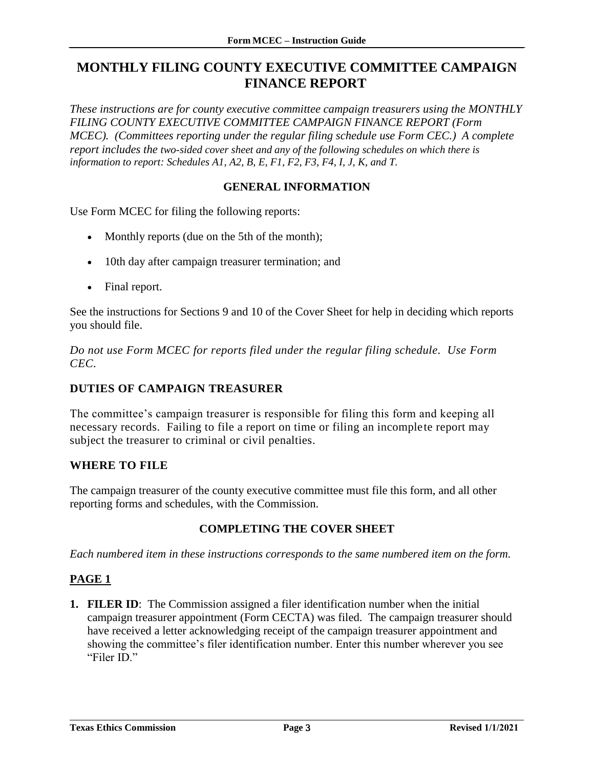# <span id="page-4-0"></span>**MONTHLY FILING COUNTY EXECUTIVE COMMITTEE CAMPAIGN FINANCE REPORT**

*These instructions are for county executive committee campaign treasurers using the MONTHLY FILING COUNTY EXECUTIVE COMMITTEE CAMPAIGN FINANCE REPORT (Form MCEC*). (Committees reporting under the regular filing schedule use Form CEC.) A complete *report includes the two-sided cover sheet and any of the following schedules on which there is information to report: Schedules A1, A2, B, E, F1, F2, F3, F4, I, J, K, and T.*

### **GENERAL INFORMATION**

<span id="page-4-1"></span>Use Form MCEC for filing the following reports:

- Monthly reports (due on the 5th of the month);
- 10th day after campaign treasurer termination; and
- Final report.

See the instructions for Sections 9 and 10 of the Cover Sheet for help in deciding which reports you should file.

*Do not use Form MCEC for reports filed under the regular filing schedule. Use Form CEC.*

#### **DUTIES OF CAMPAIGN TREASURER**

The committee's campaign treasurer is responsible for filing this form and keeping all necessary records. Failing to file a report on time or filing an incomplete report may subject the treasurer to criminal or civil penalties.

#### **WHERE TO FILE**

The campaign treasurer of the county executive committee must file this form, and all other reporting forms and schedules, with the Commission.

#### **COMPLETING THE COVER SHEET**

<span id="page-4-2"></span>*Each numbered item in these instructions corresponds to the same numbered item on the form.*

### <span id="page-4-3"></span>**PAGE 1**

**1. FILER ID**: The Commission assigned a filer identification number when the initial campaign treasurer appointment (Form CECTA) was filed. The campaign treasurer should have received a letter acknowledging receipt of the campaign treasurer appointment and showing the committee's filer identification number. Enter this number wherever you see "Filer ID."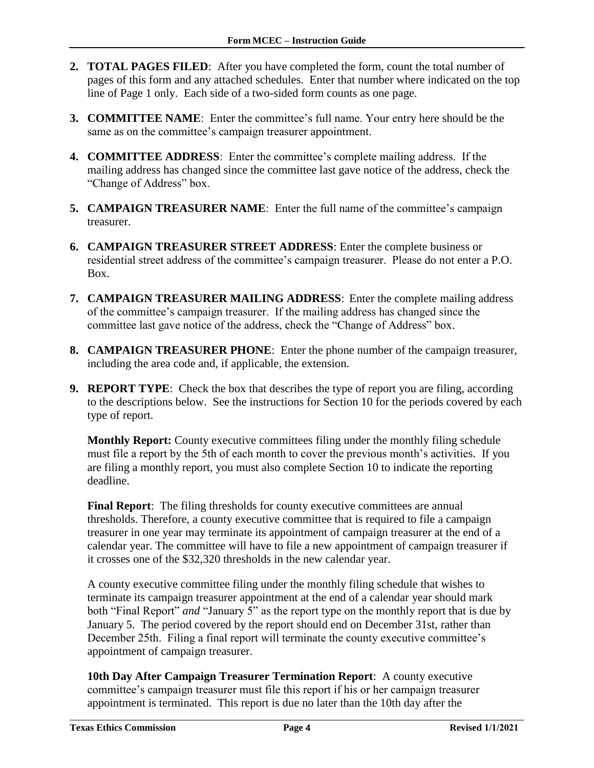- **2. TOTAL PAGES FILED**: After you have completed the form, count the total number of pages of this form and any attached schedules. Enter that number where indicated on the top line of Page 1 only. Each side of a two-sided form counts as one page.
- **3. COMMITTEE NAME**: Enter the committee's full name. Your entry here should be the same as on the committee's campaign treasurer appointment.
- **4. COMMITTEE ADDRESS**: Enter the committee's complete mailing address. If the mailing address has changed since the committee last gave notice of the address, check the "Change of Address" box.
- **5. CAMPAIGN TREASURER NAME**: Enter the full name of the committee's campaign treasurer.
- **6. CAMPAIGN TREASURER STREET ADDRESS**: Enter the complete business or residential street address of the committee's campaign treasurer. Please do not enter a P.O. Box.
- **7. CAMPAIGN TREASURER MAILING ADDRESS**: Enter the complete mailing address of the committee's campaign treasurer. If the mailing address has changed since the committee last gave notice of the address, check the "Change of Address" box.
- **8. CAMPAIGN TREASURER PHONE**: Enter the phone number of the campaign treasurer, including the area code and, if applicable, the extension.
- **9. REPORT TYPE**: Check the box that describes the type of report you are filing, according to the descriptions below. See the instructions for Section 10 for the periods covered by each type of report.

**Monthly Report:** County executive committees filing under the monthly filing schedule must file a report by the 5th of each month to cover the previous month's activities. If you are filing a monthly report, you must also complete Section 10 to indicate the reporting deadline.

**Final Report:** The filing thresholds for county executive committees are annual thresholds. Therefore, a county executive committee that is required to file a campaign treasurer in one year may terminate its appointment of campaign treasurer at the end of a calendar year. The committee will have to file a new appointment of campaign treasurer if it crosses one of the \$32,320 thresholds in the new calendar year.

A county executive committee filing under the monthly filing schedule that wishes to terminate its campaign treasurer appointment at the end of a calendar year should mark both "Final Report" *and* "January 5" as the report type on the monthly report that is due by January 5. The period covered by the report should end on December 31st, rather than December 25th. Filing a final report will terminate the county executive committee's appointment of campaign treasurer.

**10th Day After Campaign Treasurer Termination Report**: A county executive committee's campaign treasurer must file this report if his or her campaign treasurer appointment is terminated. This report is due no later than the 10th day after the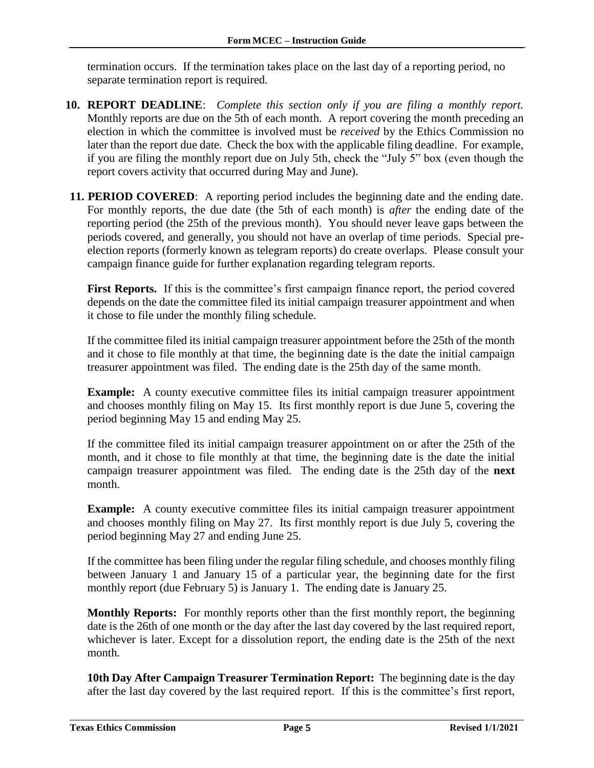termination occurs. If the termination takes place on the last day of a reporting period, no separate termination report is required.

- **10. REPORT DEADLINE**: *Complete this section only if you are filing a monthly report.* Monthly reports are due on the 5th of each month. A report covering the month preceding an election in which the committee is involved must be *received* by the Ethics Commission no later than the report due date. Check the box with the applicable filing deadline. For example, if you are filing the monthly report due on July 5th, check the "July 5" box (even though the report covers activity that occurred during May and June).
- **11. PERIOD COVERED:** A reporting period includes the beginning date and the ending date. For monthly reports, the due date (the 5th of each month) is *after* the ending date of the reporting period (the 25th of the previous month). You should never leave gaps between the periods covered, and generally, you should not have an overlap of time periods. Special preelection reports (formerly known as telegram reports) do create overlaps. Please consult your campaign finance guide for further explanation regarding telegram reports.

First Reports. If this is the committee's first campaign finance report, the period covered depends on the date the committee filed its initial campaign treasurer appointment and when it chose to file under the monthly filing schedule.

If the committee filed its initial campaign treasurer appointment before the 25th of the month and it chose to file monthly at that time, the beginning date is the date the initial campaign treasurer appointment was filed. The ending date is the 25th day of the same month.

**Example:** A county executive committee files its initial campaign treasurer appointment and chooses monthly filing on May 15. Its first monthly report is due June 5, covering the period beginning May 15 and ending May 25.

If the committee filed its initial campaign treasurer appointment on or after the 25th of the month, and it chose to file monthly at that time, the beginning date is the date the initial campaign treasurer appointment was filed. The ending date is the 25th day of the **next** month.

**Example:** A county executive committee files its initial campaign treasurer appointment and chooses monthly filing on May 27. Its first monthly report is due July 5, covering the period beginning May 27 and ending June 25.

If the committee has been filing under the regular filing schedule, and chooses monthly filing between January 1 and January 15 of a particular year, the beginning date for the first monthly report (due February 5) is January 1. The ending date is January 25.

**Monthly Reports:** For monthly reports other than the first monthly report, the beginning date is the 26th of one month or the day after the last day covered by the last required report, whichever is later. Except for a dissolution report, the ending date is the 25th of the next month.

**10th Day After Campaign Treasurer Termination Report:** The beginning date is the day after the last day covered by the last required report. If this is the committee's first report,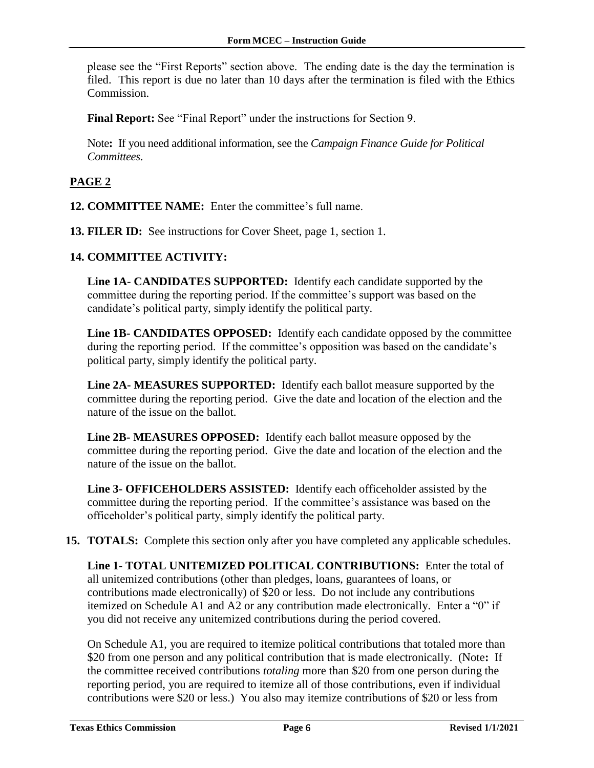please see the "First Reports" section above. The ending date is the day the termination is filed. This report is due no later than 10 days after the termination is filed with the Ethics Commission.

**Final Report:** See "Final Report" under the instructions for Section 9.

Note**:** If you need additional information, see the *Campaign Finance Guide for Political Committees*.

### <span id="page-7-0"></span>**PAGE 2**

- **12. COMMITTEE NAME:** Enter the committee's full name.
- **13. FILER ID:** See instructions for Cover Sheet, page 1, section 1.

#### **14. COMMITTEE ACTIVITY:**

**Line 1A**- **CANDIDATES SUPPORTED:** Identify each candidate supported by the committee during the reporting period. If the committee's support was based on the candidate's political party, simply identify the political party.

**Line 1B- CANDIDATES OPPOSED:** Identify each candidate opposed by the committee during the reporting period. If the committee's opposition was based on the candidate's political party, simply identify the political party.

**Line 2A- MEASURES SUPPORTED:** Identify each ballot measure supported by the committee during the reporting period. Give the date and location of the election and the nature of the issue on the ballot.

**Line 2B- MEASURES OPPOSED:** Identify each ballot measure opposed by the committee during the reporting period. Give the date and location of the election and the nature of the issue on the ballot.

**Line 3- OFFICEHOLDERS ASSISTED:** Identify each officeholder assisted by the committee during the reporting period. If the committee's assistance was based on the officeholder's political party, simply identify the political party.

**15. TOTALS:** Complete this section only after you have completed any applicable schedules.

**Line 1- TOTAL UNITEMIZED POLITICAL CONTRIBUTIONS:** Enter the total of all unitemized contributions (other than pledges, loans, guarantees of loans, or contributions made electronically) of \$20 or less. Do not include any contributions itemized on Schedule A1 and A2 or any contribution made electronically. Enter a "0" if you did not receive any unitemized contributions during the period covered.

On Schedule A1, you are required to itemize political contributions that totaled more than \$20 from one person and any political contribution that is made electronically. (Note**:** If the committee received contributions *totaling* more than \$20 from one person during the reporting period, you are required to itemize all of those contributions, even if individual contributions were \$20 or less.) You also may itemize contributions of \$20 or less from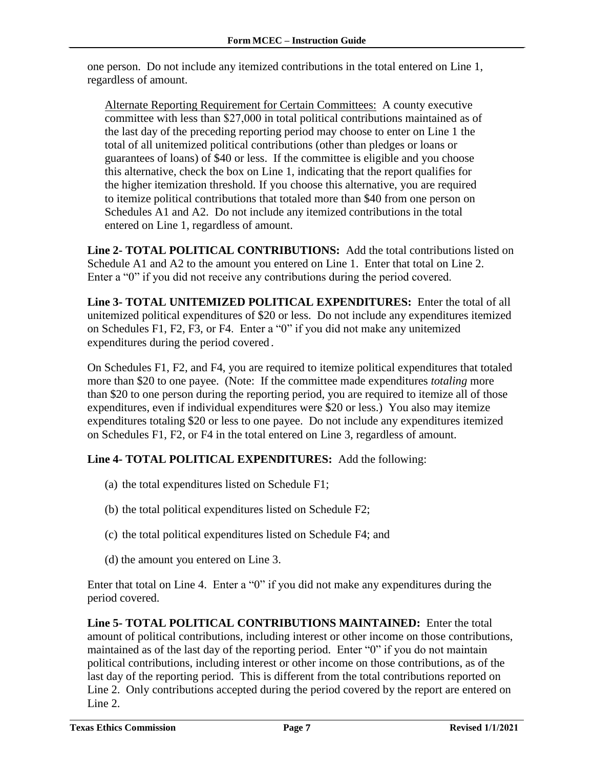one person. Do not include any itemized contributions in the total entered on Line 1, regardless of amount.

Alternate Reporting Requirement for Certain Committees: A county executive committee with less than \$27,000 in total political contributions maintained as of the last day of the preceding reporting period may choose to enter on Line 1 the total of all unitemized political contributions (other than pledges or loans or guarantees of loans) of \$40 or less. If the committee is eligible and you choose this alternative, check the box on Line 1, indicating that the report qualifies for the higher itemization threshold. If you choose this alternative, you are required to itemize political contributions that totaled more than \$40 from one person on Schedules A1 and A2. Do not include any itemized contributions in the total entered on Line 1, regardless of amount.

**Line 2- TOTAL POLITICAL CONTRIBUTIONS:** Add the total contributions listed on Schedule A1 and A2 to the amount you entered on Line 1. Enter that total on Line 2. Enter a "0" if you did not receive any contributions during the period covered.

**Line 3- TOTAL UNITEMIZED POLITICAL EXPENDITURES:** Enter the total of all unitemized political expenditures of \$20 or less. Do not include any expenditures itemized on Schedules F1, F2, F3, or F4. Enter a "0" if you did not make any unitemized expenditures during the period covered*.*

On Schedules F1, F2, and F4, you are required to itemize political expenditures that totaled more than \$20 to one payee. (Note: If the committee made expenditures *totaling* more than \$20 to one person during the reporting period, you are required to itemize all of those expenditures, even if individual expenditures were \$20 or less.) You also may itemize expenditures totaling \$20 or less to one payee. Do not include any expenditures itemized on Schedules F1, F2, or F4 in the total entered on Line 3, regardless of amount.

### **Line 4- TOTAL POLITICAL EXPENDITURES:** Add the following:

- (a) the total expenditures listed on Schedule F1;
- (b) the total political expenditures listed on Schedule F2;
- (c) the total political expenditures listed on Schedule F4; and
- (d) the amount you entered on Line 3.

Enter that total on Line 4. Enter a "0" if you did not make any expenditures during the period covered.

**Line 5- TOTAL POLITICAL CONTRIBUTIONS MAINTAINED:** Enter the total amount of political contributions, including interest or other income on those contributions, maintained as of the last day of the reporting period. Enter "0" if you do not maintain political contributions, including interest or other income on those contributions, as of the last day of the reporting period. This is different from the total contributions reported on Line 2. Only contributions accepted during the period covered by the report are entered on Line 2.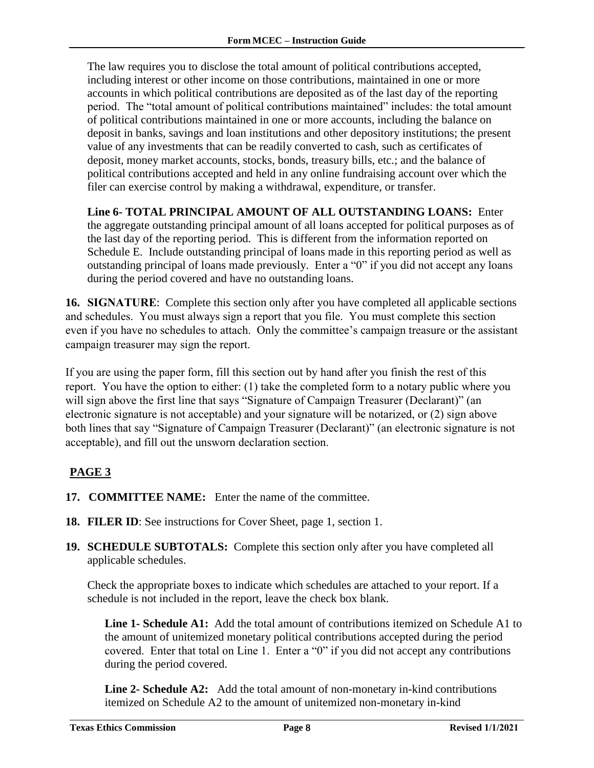The law requires you to disclose the total amount of political contributions accepted, including interest or other income on those contributions, maintained in one or more accounts in which political contributions are deposited as of the last day of the reporting period. The "total amount of political contributions maintained" includes: the total amount of political contributions maintained in one or more accounts, including the balance on deposit in banks, savings and loan institutions and other depository institutions; the present value of any investments that can be readily converted to cash, such as certificates of deposit, money market accounts, stocks, bonds, treasury bills, etc.; and the balance of political contributions accepted and held in any online fundraising account over which the filer can exercise control by making a withdrawal, expenditure, or transfer.

**Line 6- TOTAL PRINCIPAL AMOUNT OF ALL OUTSTANDING LOANS:** Enter the aggregate outstanding principal amount of all loans accepted for political purposes as of the last day of the reporting period. This is different from the information reported on Schedule E. Include outstanding principal of loans made in this reporting period as well as outstanding principal of loans made previously. Enter a "0" if you did not accept any loans during the period covered and have no outstanding loans.

**16. SIGNATURE**: Complete this section only after you have completed all applicable sections and schedules. You must always sign a report that you file. You must complete this section even if you have no schedules to attach. Only the committee's campaign treasure or the assistant campaign treasurer may sign the report.

<span id="page-9-0"></span>If you are using the paper form, fill this section out by hand after you finish the rest of this report. You have the option to either: (1) take the completed form to a notary public where you will sign above the first line that says "Signature of Campaign Treasurer (Declarant)" (an electronic signature is not acceptable) and your signature will be notarized, or (2) sign above both lines that say "Signature of Campaign Treasurer (Declarant)" (an electronic signature is not acceptable), and fill out the unsworn declaration section.

### **PAGE 3**

- **17. COMMITTEE NAME:** Enter the name of the committee.
- **18. FILER ID**: See instructions for Cover Sheet, page 1, section 1.
- **19. SCHEDULE SUBTOTALS:** Complete this section only after you have completed all applicable schedules.

Check the appropriate boxes to indicate which schedules are attached to your report. If a schedule is not included in the report, leave the check box blank.

Line 1- Schedule A1: Add the total amount of contributions itemized on Schedule A1 to the amount of unitemized monetary political contributions accepted during the period covered. Enter that total on Line 1. Enter a "0" if you did not accept any contributions during the period covered.

**Line 2- Schedule A2:** Add the total amount of non-monetary in-kind contributions itemized on Schedule A2 to the amount of unitemized non-monetary in-kind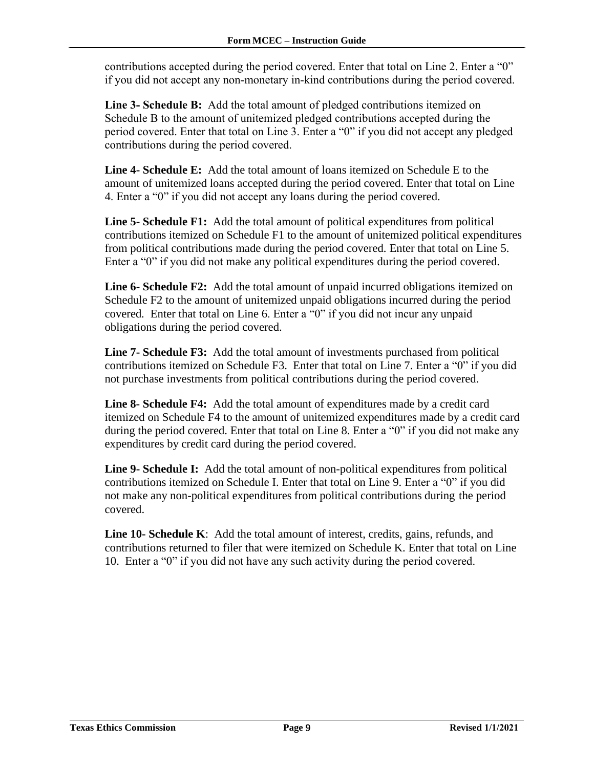contributions accepted during the period covered. Enter that total on Line 2. Enter a "0" if you did not accept any non-monetary in-kind contributions during the period covered.

**Line 3- Schedule B:** Add the total amount of pledged contributions itemized on Schedule B to the amount of unitemized pledged contributions accepted during the period covered. Enter that total on Line 3. Enter a "0" if you did not accept any pledged contributions during the period covered.

**Line 4- Schedule E:** Add the total amount of loans itemized on Schedule E to the amount of unitemized loans accepted during the period covered. Enter that total on Line 4. Enter a "0" if you did not accept any loans during the period covered.

**Line 5- Schedule F1:** Add the total amount of political expenditures from political contributions itemized on Schedule F1 to the amount of unitemized political expenditures from political contributions made during the period covered. Enter that total on Line 5. Enter a "0" if you did not make any political expenditures during the period covered.

**Line 6- Schedule F2:** Add the total amount of unpaid incurred obligations itemized on Schedule F2 to the amount of unitemized unpaid obligations incurred during the period covered*.* Enter that total on Line 6. Enter a "0" if you did not incur any unpaid obligations during the period covered.

**Line 7- Schedule F3:** Add the total amount of investments purchased from political contributions itemized on Schedule F3. Enter that total on Line 7. Enter a "0" if you did not purchase investments from political contributions during the period covered.

**Line 8- Schedule F4:** Add the total amount of expenditures made by a credit card itemized on Schedule F4 to the amount of unitemized expenditures made by a credit card during the period covered. Enter that total on Line 8. Enter a "0" if you did not make any expenditures by credit card during the period covered.

Line 9- Schedule I: Add the total amount of non-political expenditures from political contributions itemized on Schedule I. Enter that total on Line 9. Enter a "0" if you did not make any non-political expenditures from political contributions during the period covered.

**Line 10- Schedule K**: Add the total amount of interest, credits, gains, refunds, and contributions returned to filer that were itemized on Schedule K. Enter that total on Line 10. Enter a "0" if you did not have any such activity during the period covered.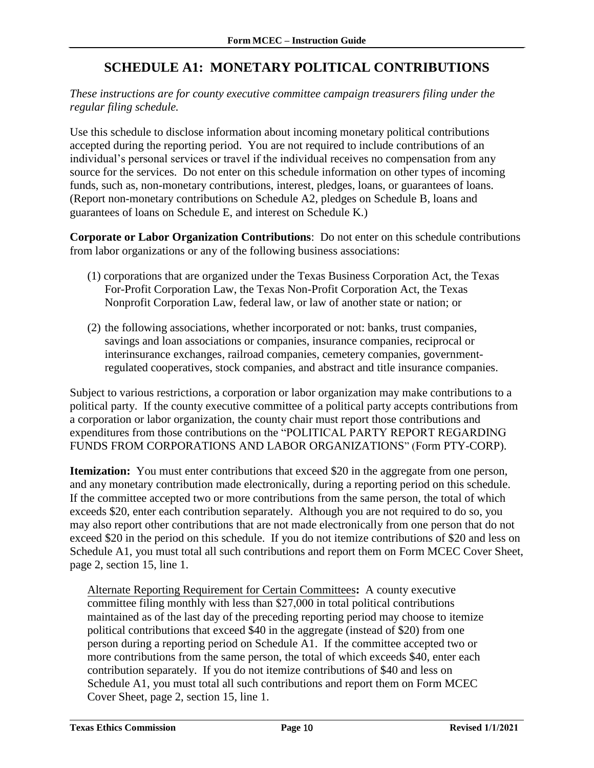# **SCHEDULE A1: MONETARY POLITICAL CONTRIBUTIONS**

<span id="page-11-0"></span>*These instructions are for county executive committee campaign treasurers filing under the regular filing schedule.*

Use this schedule to disclose information about incoming monetary political contributions accepted during the reporting period. You are not required to include contributions of an individual's personal services or travel if the individual receives no compensation from any source for the services. Do not enter on this schedule information on other types of incoming funds, such as, non-monetary contributions, interest, pledges, loans, or guarantees of loans. (Report non-monetary contributions on Schedule A2, pledges on Schedule B, loans and guarantees of loans on Schedule E, and interest on Schedule K.)

**Corporate or Labor Organization Contributions**: Do not enter on this schedule contributions from labor organizations or any of the following business associations:

- (1) corporations that are organized under the Texas Business Corporation Act, the Texas For-Profit Corporation Law, the Texas Non-Profit Corporation Act, the Texas Nonprofit Corporation Law, federal law, or law of another state or nation; or
- (2) the following associations, whether incorporated or not: banks, trust companies, savings and loan associations or companies, insurance companies, reciprocal or interinsurance exchanges, railroad companies, cemetery companies, governmentregulated cooperatives, stock companies, and abstract and title insurance companies.

Subject to various restrictions, a corporation or labor organization may make contributions to a political party. If the county executive committee of a political party accepts contributions from a corporation or labor organization, the county chair must report those contributions and expenditures from those contributions on the "POLITICAL PARTY REPORT REGARDING FUNDS FROM CORPORATIONS AND LABOR ORGANIZATIONS" (Form PTY-CORP).

**Itemization:** You must enter contributions that exceed \$20 in the aggregate from one person, and any monetary contribution made electronically, during a reporting period on this schedule. If the committee accepted two or more contributions from the same person, the total of which exceeds \$20, enter each contribution separately. Although you are not required to do so, you may also report other contributions that are not made electronically from one person that do not exceed \$20 in the period on this schedule. If you do not itemize contributions of \$20 and less on Schedule A1, you must total all such contributions and report them on Form MCEC Cover Sheet, page 2, section 15, line 1.

Alternate Reporting Requirement for Certain Committees**:** A county executive committee filing monthly with less than \$27,000 in total political contributions maintained as of the last day of the preceding reporting period may choose to itemize political contributions that exceed \$40 in the aggregate (instead of \$20) from one person during a reporting period on Schedule A1. If the committee accepted two or more contributions from the same person, the total of which exceeds \$40, enter each contribution separately. If you do not itemize contributions of \$40 and less on Schedule A1, you must total all such contributions and report them on Form MCEC Cover Sheet, page 2, section 15, line 1.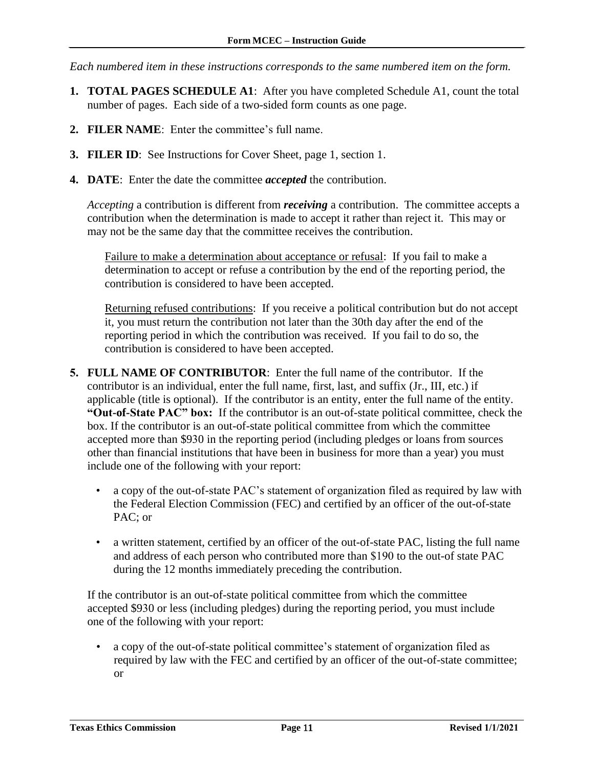*Each numbered item in these instructions corresponds to the same numbered item on the form.*

- **1. TOTAL PAGES SCHEDULE A1**: After you have completed Schedule A1, count the total number of pages. Each side of a two-sided form counts as one page.
- **2. FILER NAME**: Enter the committee's full name.
- **3. FILER ID**: See Instructions for Cover Sheet, page 1, section 1.
- **4. DATE**: Enter the date the committee *accepted* the contribution.

*Accepting* a contribution is different from *receiving* a contribution. The committee accepts a contribution when the determination is made to accept it rather than reject it. This may or may not be the same day that the committee receives the contribution.

Failure to make a determination about acceptance or refusal: If you fail to make a determination to accept or refuse a contribution by the end of the reporting period, the contribution is considered to have been accepted.

Returning refused contributions: If you receive a political contribution but do not accept it, you must return the contribution not later than the 30th day after the end of the reporting period in which the contribution was received. If you fail to do so, the contribution is considered to have been accepted.

- **5. FULL NAME OF CONTRIBUTOR**: Enter the full name of the contributor. If the contributor is an individual, enter the full name, first, last, and suffix (Jr., III, etc.) if applicable (title is optional). If the contributor is an entity, enter the full name of the entity. **"Out-of-State PAC" box:** If the contributor is an out-of-state political committee, check the box. If the contributor is an out-of-state political committee from which the committee accepted more than \$930 in the reporting period (including pledges or loans from sources other than financial institutions that have been in business for more than a year) you must include one of the following with your report:
	- a copy of the out-of-state PAC's statement of organization filed as required by law with the Federal Election Commission (FEC) and certified by an officer of the out-of-state PAC; or
	- a written statement, certified by an officer of the out-of-state PAC, listing the full name and address of each person who contributed more than \$190 to the out-of state PAC during the 12 months immediately preceding the contribution.

If the contributor is an out-of-state political committee from which the committee accepted \$930 or less (including pledges) during the reporting period, you must include one of the following with your report:

• a copy of the out-of-state political committee's statement of organization filed as required by law with the FEC and certified by an officer of the out-of-state committee; or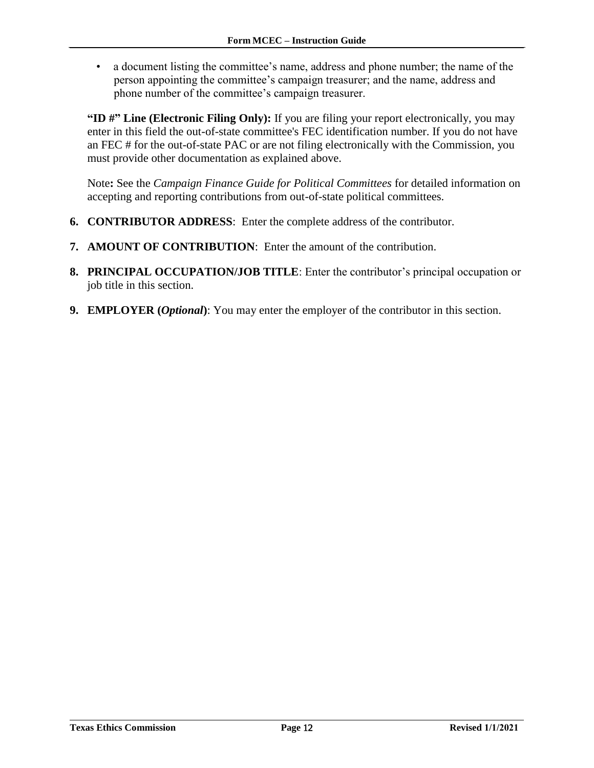• a document listing the committee's name, address and phone number; the name of the person appointing the committee's campaign treasurer; and the name, address and phone number of the committee's campaign treasurer.

**"ID #" Line (Electronic Filing Only):** If you are filing your report electronically, you may enter in this field the out-of-state committee's FEC identification number. If you do not have an FEC # for the out-of-state PAC or are not filing electronically with the Commission, you must provide other documentation as explained above.

Note**:** See the *Campaign Finance Guide for Political Committees* for detailed information on accepting and reporting contributions from out-of-state political committees.

- **6. CONTRIBUTOR ADDRESS**: Enter the complete address of the contributor.
- **7. AMOUNT OF CONTRIBUTION**: Enter the amount of the contribution.
- **8. PRINCIPAL OCCUPATION/JOB TITLE**: Enter the contributor's principal occupation or job title in this section.
- **9. EMPLOYER (***Optional***)**: You may enter the employer of the contributor in this section.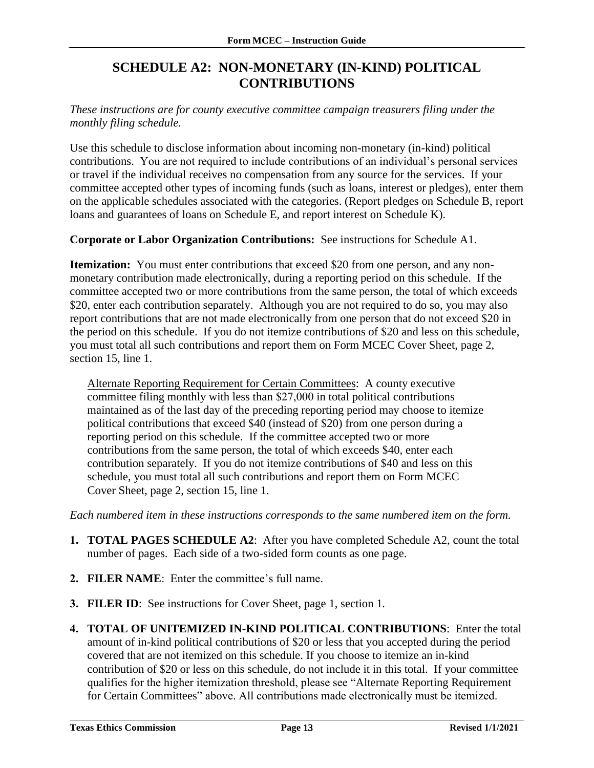# **SCHEDULE A2: NON-MONETARY (IN-KIND) POLITICAL CONTRIBUTIONS**

<span id="page-14-0"></span>*These instructions are for county executive committee campaign treasurers filing under the monthly filing schedule.* 

Use this schedule to disclose information about incoming non-monetary (in-kind) political contributions. You are not required to include contributions of an individual's personal services or travel if the individual receives no compensation from any source for the services. If your committee accepted other types of incoming funds (such as loans, interest or pledges), enter them on the applicable schedules associated with the categories. (Report pledges on Schedule B, report loans and guarantees of loans on Schedule E, and report interest on Schedule K).

**Corporate or Labor Organization Contributions:** See instructions for Schedule A1.

**Itemization:** You must enter contributions that exceed \$20 from one person, and any nonmonetary contribution made electronically, during a reporting period on this schedule. If the committee accepted two or more contributions from the same person, the total of which exceeds \$20, enter each contribution separately. Although you are not required to do so, you may also report contributions that are not made electronically from one person that do not exceed \$20 in the period on this schedule. If you do not itemize contributions of \$20 and less on this schedule, you must total all such contributions and report them on Form MCEC Cover Sheet, page 2, section 15, line 1.

Alternate Reporting Requirement for Certain Committees: A county executive committee filing monthly with less than \$27,000 in total political contributions maintained as of the last day of the preceding reporting period may choose to itemize political contributions that exceed \$40 (instead of \$20) from one person during a reporting period on this schedule. If the committee accepted two or more contributions from the same person, the total of which exceeds \$40, enter each contribution separately. If you do not itemize contributions of \$40 and less on this schedule, you must total all such contributions and report them on Form MCEC Cover Sheet, page 2, section 15, line 1.

- **1. TOTAL PAGES SCHEDULE A2**: After you have completed Schedule A2, count the total number of pages. Each side of a two-sided form counts as one page.
- **2. FILER NAME**: Enter the committee's full name.
- **3. FILER ID**: See instructions for Cover Sheet, page 1, section 1*.*
- **4. TOTAL OF UNITEMIZED IN-KIND POLITICAL CONTRIBUTIONS**: Enter the total amount of in-kind political contributions of \$20 or less that you accepted during the period covered that are not itemized on this schedule. If you choose to itemize an in-kind contribution of \$20 or less on this schedule, do not include it in this total. If your committee qualifies for the higher itemization threshold, please see "Alternate Reporting Requirement for Certain Committees" above. All contributions made electronically must be itemized.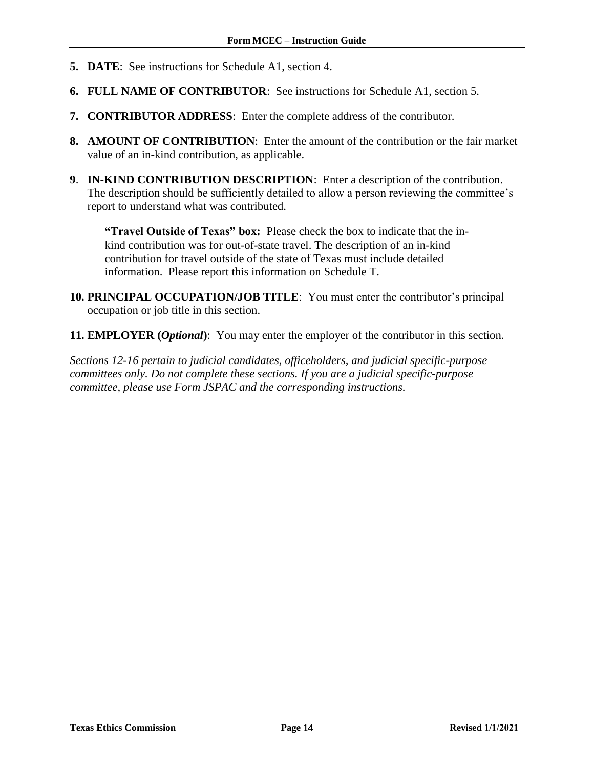- **5. DATE**: See instructions for Schedule A1, section 4.
- **6. FULL NAME OF CONTRIBUTOR**: See instructions for Schedule A1, section 5.
- **7. CONTRIBUTOR ADDRESS**: Enter the complete address of the contributor.
- **8. AMOUNT OF CONTRIBUTION**: Enter the amount of the contribution or the fair market value of an in-kind contribution, as applicable.
- **9**. **IN-KIND CONTRIBUTION DESCRIPTION**: Enter a description of the contribution. The description should be sufficiently detailed to allow a person reviewing the committee's report to understand what was contributed.

**"Travel Outside of Texas" box:** Please check the box to indicate that the inkind contribution was for out-of-state travel. The description of an in-kind contribution for travel outside of the state of Texas must include detailed information. Please report this information on Schedule T.

- **10. PRINCIPAL OCCUPATION/JOB TITLE**: You must enter the contributor's principal occupation or job title in this section.
- **11. EMPLOYER (***Optional***)**: You may enter the employer of the contributor in this section.

*Sections 12-16 pertain to judicial candidates, officeholders, and judicial specific-purpose committees only. Do not complete these sections. If you are a judicial specific-purpose committee, please use Form JSPAC and the corresponding instructions.*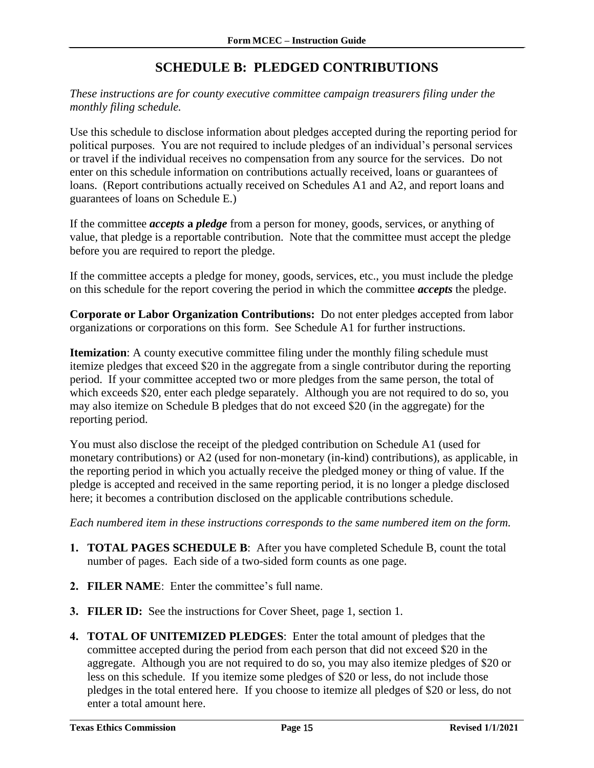# **SCHEDULE B: PLEDGED CONTRIBUTIONS**

<span id="page-16-0"></span>*These instructions are for county executive committee campaign treasurers filing under the monthly filing schedule.* 

Use this schedule to disclose information about pledges accepted during the reporting period for political purposes. You are not required to include pledges of an individual's personal services or travel if the individual receives no compensation from any source for the services. Do not enter on this schedule information on contributions actually received, loans or guarantees of loans. (Report contributions actually received on Schedules A1 and A2, and report loans and guarantees of loans on Schedule E.)

If the committee *accepts* **a** *pledge* from a person for money, goods, services, or anything of value, that pledge is a reportable contribution. Note that the committee must accept the pledge before you are required to report the pledge.

If the committee accepts a pledge for money, goods, services, etc., you must include the pledge on this schedule for the report covering the period in which the committee *accepts* the pledge.

**Corporate or Labor Organization Contributions:** Do not enter pledges accepted from labor organizations or corporations on this form. See Schedule A1 for further instructions.

**Itemization**: A county executive committee filing under the monthly filing schedule must itemize pledges that exceed \$20 in the aggregate from a single contributor during the reporting period. If your committee accepted two or more pledges from the same person, the total of which exceeds \$20, enter each pledge separately. Although you are not required to do so, you may also itemize on Schedule B pledges that do not exceed \$20 (in the aggregate) for the reporting period.

You must also disclose the receipt of the pledged contribution on Schedule A1 (used for monetary contributions) or A2 (used for non-monetary (in-kind) contributions), as applicable, in the reporting period in which you actually receive the pledged money or thing of value. If the pledge is accepted and received in the same reporting period, it is no longer a pledge disclosed here; it becomes a contribution disclosed on the applicable contributions schedule.

- **1. TOTAL PAGES SCHEDULE B**: After you have completed Schedule B, count the total number of pages. Each side of a two-sided form counts as one page.
- **2. FILER NAME**: Enter the committee's full name.
- **3. FILER ID:** See the instructions for Cover Sheet, page 1, section 1.
- **4. TOTAL OF UNITEMIZED PLEDGES**: Enter the total amount of pledges that the committee accepted during the period from each person that did not exceed \$20 in the aggregate. Although you are not required to do so, you may also itemize pledges of \$20 or less on this schedule. If you itemize some pledges of \$20 or less, do not include those pledges in the total entered here. If you choose to itemize all pledges of \$20 or less, do not enter a total amount here.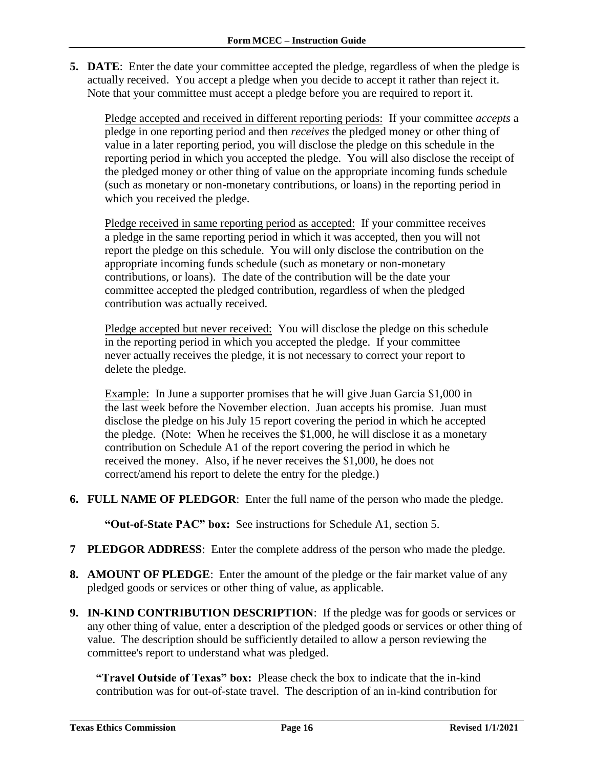**5. DATE**: Enter the date your committee accepted the pledge, regardless of when the pledge is actually received. You accept a pledge when you decide to accept it rather than reject it. Note that your committee must accept a pledge before you are required to report it.

Pledge accepted and received in different reporting periods: If your committee *accepts* a pledge in one reporting period and then *receives* the pledged money or other thing of value in a later reporting period, you will disclose the pledge on this schedule in the reporting period in which you accepted the pledge. You will also disclose the receipt of the pledged money or other thing of value on the appropriate incoming funds schedule (such as monetary or non-monetary contributions, or loans) in the reporting period in which you received the pledge.

Pledge received in same reporting period as accepted: If your committee receives a pledge in the same reporting period in which it was accepted, then you will not report the pledge on this schedule. You will only disclose the contribution on the appropriate incoming funds schedule (such as monetary or non-monetary contributions, or loans). The date of the contribution will be the date your committee accepted the pledged contribution, regardless of when the pledged contribution was actually received.

Pledge accepted but never received: You will disclose the pledge on this schedule in the reporting period in which you accepted the pledge. If your committee never actually receives the pledge, it is not necessary to correct your report to delete the pledge.

Example: In June a supporter promises that he will give Juan Garcia \$1,000 in the last week before the November election. Juan accepts his promise. Juan must disclose the pledge on his July 15 report covering the period in which he accepted the pledge. (Note: When he receives the \$1,000, he will disclose it as a monetary contribution on Schedule A1 of the report covering the period in which he received the money. Also, if he never receives the \$1,000, he does not correct/amend his report to delete the entry for the pledge.)

**6. FULL NAME OF PLEDGOR**: Enter the full name of the person who made the pledge.

**"Out-of-State PAC" box:** See instructions for Schedule A1, section 5.

- **7 PLEDGOR ADDRESS**: Enter the complete address of the person who made the pledge.
- **8. AMOUNT OF PLEDGE**: Enter the amount of the pledge or the fair market value of any pledged goods or services or other thing of value, as applicable.
- **9. IN-KIND CONTRIBUTION DESCRIPTION**: If the pledge was for goods or services or any other thing of value, enter a description of the pledged goods or services or other thing of value. The description should be sufficiently detailed to allow a person reviewing the committee's report to understand what was pledged.

**"Travel Outside of Texas" box:** Please check the box to indicate that the in-kind contribution was for out-of-state travel.The description of an in-kind contribution for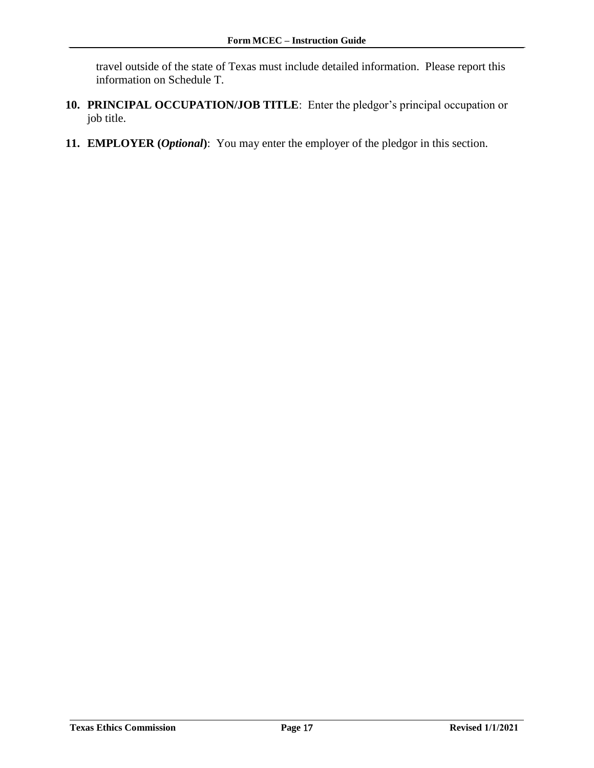travel outside of the state of Texas must include detailed information. Please report this information on Schedule T.

- **10. PRINCIPAL OCCUPATION/JOB TITLE**: Enter the pledgor's principal occupation or job title.
- **11. EMPLOYER (***Optional***)**: You may enter the employer of the pledgor in this section.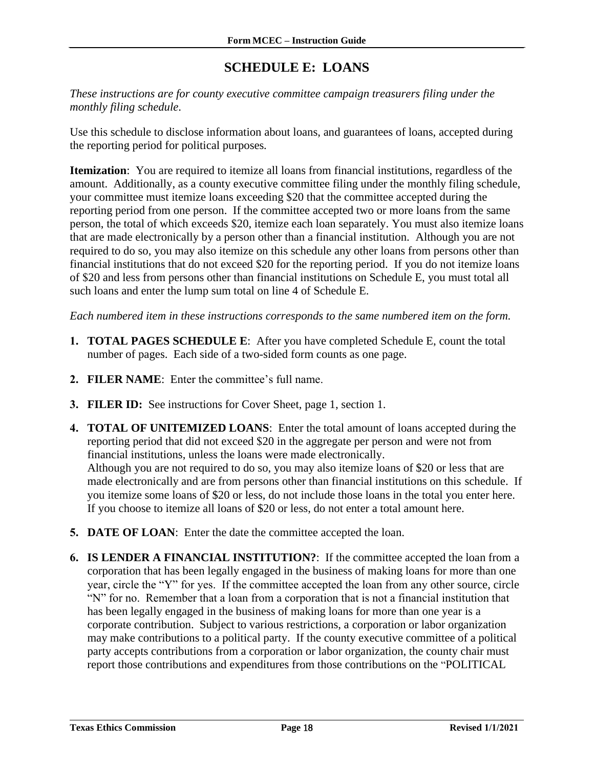# **SCHEDULE E: LOANS**

<span id="page-19-0"></span>*These instructions are for county executive committee campaign treasurers filing under the monthly filing schedule*.

Use this schedule to disclose information about loans, and guarantees of loans, accepted during the reporting period for political purposes*.* 

**Itemization**: You are required to itemize all loans from financial institutions, regardless of the amount. Additionally, as a county executive committee filing under the monthly filing schedule, your committee must itemize loans exceeding \$20 that the committee accepted during the reporting period from one person. If the committee accepted two or more loans from the same person, the total of which exceeds \$20, itemize each loan separately. You must also itemize loans that are made electronically by a person other than a financial institution. Although you are not required to do so, you may also itemize on this schedule any other loans from persons other than financial institutions that do not exceed \$20 for the reporting period. If you do not itemize loans of \$20 and less from persons other than financial institutions on Schedule E, you must total all such loans and enter the lump sum total on line 4 of Schedule E.

- **1. TOTAL PAGES SCHEDULE E**: After you have completed Schedule E, count the total number of pages. Each side of a two-sided form counts as one page.
- **2. FILER NAME**: Enter the committee's full name.
- **3. FILER ID:** See instructions for Cover Sheet, page 1, section 1.
- **4. TOTAL OF UNITEMIZED LOANS**: Enter the total amount of loans accepted during the reporting period that did not exceed \$20 in the aggregate per person and were not from financial institutions, unless the loans were made electronically. Although you are not required to do so, you may also itemize loans of \$20 or less that are made electronically and are from persons other than financial institutions on this schedule. If you itemize some loans of \$20 or less, do not include those loans in the total you enter here. If you choose to itemize all loans of \$20 or less, do not enter a total amount here.
- **5. DATE OF LOAN**: Enter the date the committee accepted the loan.
- **6. IS LENDER A FINANCIAL INSTITUTION?**: If the committee accepted the loan from a corporation that has been legally engaged in the business of making loans for more than one year, circle the "Y" for yes. If the committee accepted the loan from any other source, circle "N" for no. Remember that a loan from a corporation that is not a financial institution that has been legally engaged in the business of making loans for more than one year is a corporate contribution. Subject to various restrictions, a corporation or labor organization may make contributions to a political party. If the county executive committee of a political party accepts contributions from a corporation or labor organization, the county chair must report those contributions and expenditures from those contributions on the "POLITICAL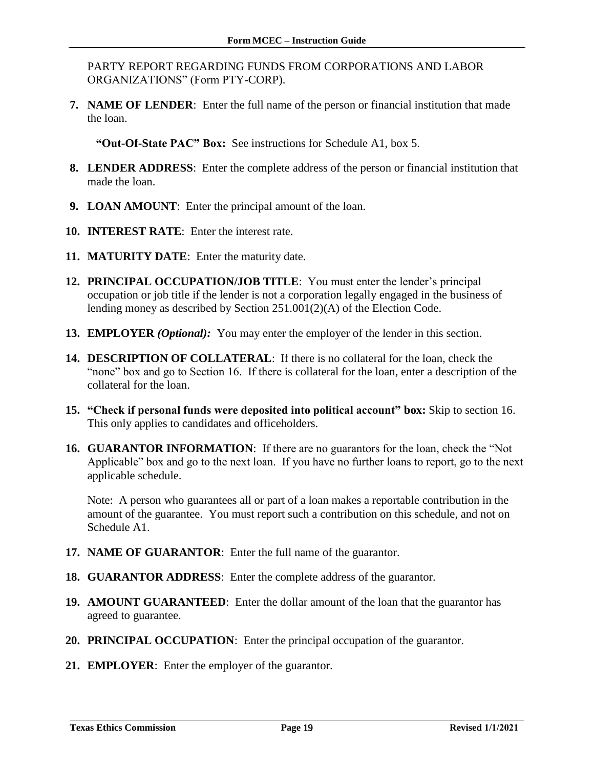PARTY REPORT REGARDING FUNDS FROM CORPORATIONS AND LABOR ORGANIZATIONS" (Form PTY-CORP).

**7. NAME OF LENDER**: Enter the full name of the person or financial institution that made the loan.

**"Out-Of-State PAC" Box:** See instructions for Schedule A1, box 5.

- **8. LENDER ADDRESS**: Enter the complete address of the person or financial institution that made the loan.
- **9. LOAN AMOUNT**: Enter the principal amount of the loan.
- **10. INTEREST RATE**: Enter the interest rate.
- **11. MATURITY DATE**: Enter the maturity date.
- **12. PRINCIPAL OCCUPATION/JOB TITLE**: You must enter the lender's principal occupation or job title if the lender is not a corporation legally engaged in the business of lending money as described by Section 251.001(2)(A) of the Election Code.
- **13. EMPLOYER** *(Optional):* You may enter the employer of the lender in this section.
- **14. DESCRIPTION OF COLLATERAL**: If there is no collateral for the loan, check the "none" box and go to Section 16. If there is collateral for the loan, enter a description of the collateral for the loan.
- **15. "Check if personal funds were deposited into political account" box:** Skip to section 16. This only applies to candidates and officeholders.
- **16. GUARANTOR INFORMATION**: If there are no guarantors for the loan, check the "Not Applicable" box and go to the next loan. If you have no further loans to report, go to the next applicable schedule.

Note: A person who guarantees all or part of a loan makes a reportable contribution in the amount of the guarantee. You must report such a contribution on this schedule, and not on Schedule A1.

- **17. NAME OF GUARANTOR**: Enter the full name of the guarantor.
- **18. GUARANTOR ADDRESS**: Enter the complete address of the guarantor.
- **19. AMOUNT GUARANTEED**: Enter the dollar amount of the loan that the guarantor has agreed to guarantee.
- **20. PRINCIPAL OCCUPATION**: Enter the principal occupation of the guarantor.
- **21. EMPLOYER**: Enter the employer of the guarantor.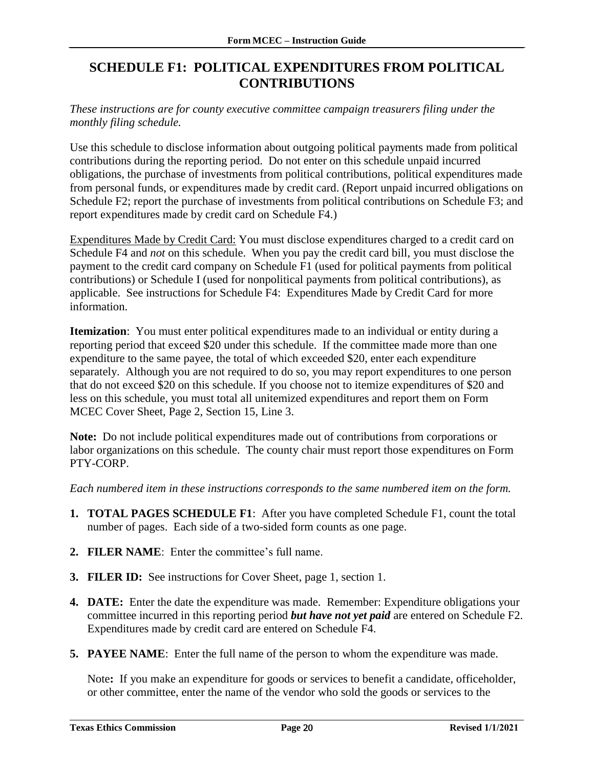## <span id="page-21-0"></span>**SCHEDULE F1: POLITICAL EXPENDITURES FROM POLITICAL CONTRIBUTIONS**

*These instructions are for county executive committee campaign treasurers filing under the monthly filing schedule.*

Use this schedule to disclose information about outgoing political payments made from political contributions during the reporting period. Do not enter on this schedule unpaid incurred obligations, the purchase of investments from political contributions, political expenditures made from personal funds, or expenditures made by credit card. (Report unpaid incurred obligations on Schedule F2; report the purchase of investments from political contributions on Schedule F3; and report expenditures made by credit card on Schedule F4.)

Expenditures Made by Credit Card: You must disclose expenditures charged to a credit card on Schedule F4 and *not* on this schedule. When you pay the credit card bill, you must disclose the payment to the credit card company on Schedule F1 (used for political payments from political contributions) or Schedule I (used for nonpolitical payments from political contributions), as applicable. See instructions for Schedule F4: Expenditures Made by Credit Card for more information.

**Itemization**: You must enter political expenditures made to an individual or entity during a reporting period that exceed \$20 under this schedule. If the committee made more than one expenditure to the same payee, the total of which exceeded \$20, enter each expenditure separately. Although you are not required to do so, you may report expenditures to one person that do not exceed \$20 on this schedule. If you choose not to itemize expenditures of \$20 and less on this schedule, you must total all unitemized expenditures and report them on Form MCEC Cover Sheet, Page 2, Section 15, Line 3.

**Note:** Do not include political expenditures made out of contributions from corporations or labor organizations on this schedule. The county chair must report those expenditures on Form PTY-CORP.

*Each numbered item in these instructions corresponds to the same numbered item on the form.*

- **1. TOTAL PAGES SCHEDULE F1**: After you have completed Schedule F1, count the total number of pages. Each side of a two-sided form counts as one page.
- **2. FILER NAME**: Enter the committee's full name.
- **3. FILER ID:** See instructions for Cover Sheet, page 1, section 1.
- **4. DATE:** Enter the date the expenditure was made. Remember: Expenditure obligations your committee incurred in this reporting period *but have not yet paid* are entered on Schedule F2. Expenditures made by credit card are entered on Schedule F4.
- **5. PAYEE NAME**: Enter the full name of the person to whom the expenditure was made.

Note**:** If you make an expenditure for goods or services to benefit a candidate, officeholder, or other committee, enter the name of the vendor who sold the goods or services to the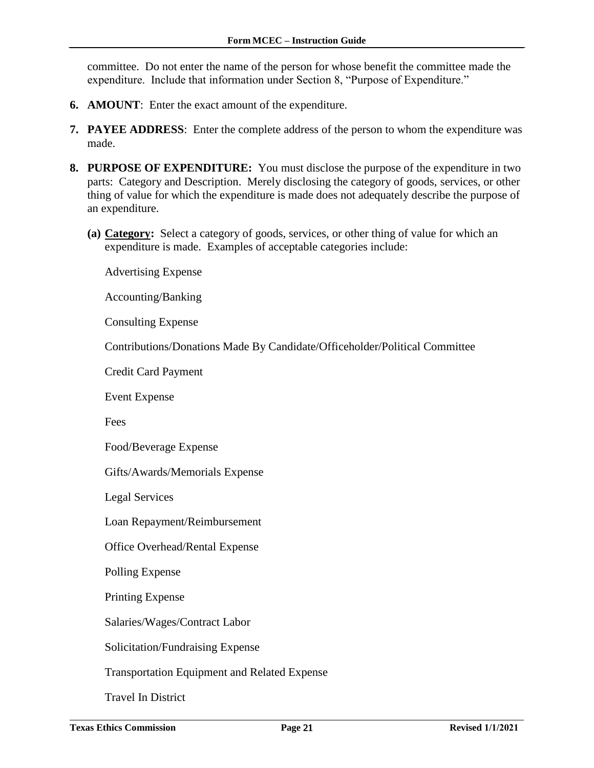committee. Do not enter the name of the person for whose benefit the committee made the expenditure. Include that information under Section 8, "Purpose of Expenditure."

- **6. AMOUNT**: Enter the exact amount of the expenditure.
- **7. PAYEE ADDRESS**: Enter the complete address of the person to whom the expenditure was made.
- **8. PURPOSE OF EXPENDITURE:** You must disclose the purpose of the expenditure in two parts: Category and Description. Merely disclosing the category of goods, services, or other thing of value for which the expenditure is made does not adequately describe the purpose of an expenditure.
	- **(a) Category:** Select a category of goods, services, or other thing of value for which an expenditure is made. Examples of acceptable categories include:

Advertising Expense

Accounting/Banking

Consulting Expense

Contributions/Donations Made By Candidate/Officeholder/Political Committee

Credit Card Payment

Event Expense

Fees

Food/Beverage Expense

Gifts/Awards/Memorials Expense

Legal Services

Loan Repayment/Reimbursement

Office Overhead/Rental Expense

Polling Expense

Printing Expense

Salaries/Wages/Contract Labor

Solicitation/Fundraising Expense

Transportation Equipment and Related Expense

Travel In District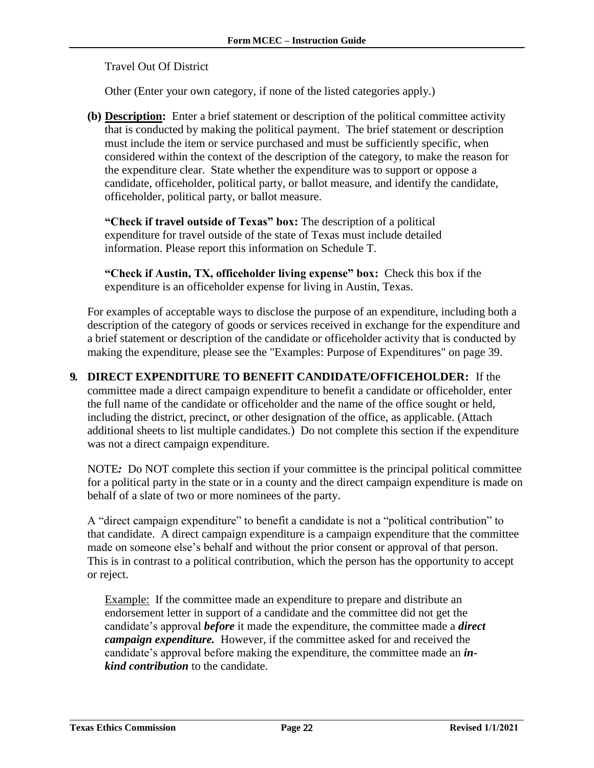Travel Out Of District

Other (Enter your own category, if none of the listed categories apply.)

**(b) Description:** Enter a brief statement or description of the political committee activity that is conducted by making the political payment. The brief statement or description must include the item or service purchased and must be sufficiently specific, when considered within the context of the description of the category, to make the reason for the expenditure clear. State whether the expenditure was to support or oppose a candidate, officeholder, political party, or ballot measure, and identify the candidate, officeholder, political party, or ballot measure.

**"Check if travel outside of Texas" box:** The description of a political expenditure for travel outside of the state of Texas must include detailed information. Please report this information on Schedule T.

**"Check if Austin, TX, officeholder living expense" box:** Check this box if the expenditure is an officeholder expense for living in Austin, Texas.

For examples of acceptable ways to disclose the purpose of an expenditure, including both a description of the category of goods or services received in exchange for the expenditure and a brief statement or description of the candidate or officeholder activity that is conducted by making the expenditure, please see the "Examples: Purpose of Expenditures" on page 39.

**9. DIRECT EXPENDITURE TO BENEFIT CANDIDATE/OFFICEHOLDER:** If the committee made a direct campaign expenditure to benefit a candidate or officeholder, enter the full name of the candidate or officeholder and the name of the office sought or held, including the district, precinct, or other designation of the office, as applicable. (Attach additional sheets to list multiple candidates.) Do not complete this section if the expenditure was not a direct campaign expenditure.

NOTE*:* Do NOT complete this section if your committee is the principal political committee for a political party in the state or in a county and the direct campaign expenditure is made on behalf of a slate of two or more nominees of the party.

A "direct campaign expenditure" to benefit a candidate is not a "political contribution" to that candidate. A direct campaign expenditure is a campaign expenditure that the committee made on someone else's behalf and without the prior consent or approval of that person. This is in contrast to a political contribution, which the person has the opportunity to accept or reject.

Example: If the committee made an expenditure to prepare and distribute an endorsement letter in support of a candidate and the committee did not get the candidate's approval *before* it made the expenditure, the committee made a *direct campaign expenditure.* However, if the committee asked for and received the candidate's approval before making the expenditure, the committee made an *inkind contribution* to the candidate.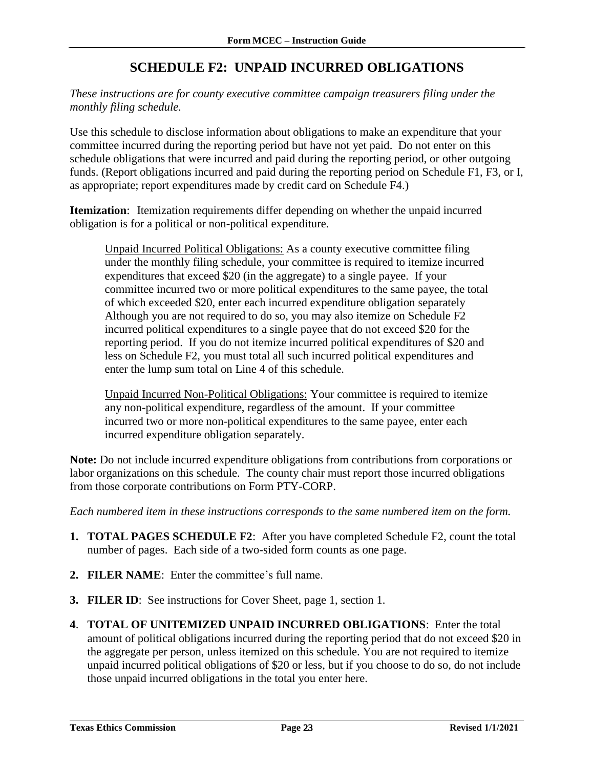# **SCHEDULE F2: UNPAID INCURRED OBLIGATIONS**

<span id="page-24-0"></span>*These instructions are for county executive committee campaign treasurers filing under the monthly filing schedule.*

Use this schedule to disclose information about obligations to make an expenditure that your committee incurred during the reporting period but have not yet paid. Do not enter on this schedule obligations that were incurred and paid during the reporting period, or other outgoing funds. (Report obligations incurred and paid during the reporting period on Schedule F1, F3, or I, as appropriate; report expenditures made by credit card on Schedule F4.)

**Itemization**: Itemization requirements differ depending on whether the unpaid incurred obligation is for a political or non-political expenditure.

Unpaid Incurred Political Obligations: As a county executive committee filing under the monthly filing schedule, your committee is required to itemize incurred expenditures that exceed \$20 (in the aggregate) to a single payee. If your committee incurred two or more political expenditures to the same payee, the total of which exceeded \$20, enter each incurred expenditure obligation separately Although you are not required to do so, you may also itemize on Schedule F2 incurred political expenditures to a single payee that do not exceed \$20 for the reporting period. If you do not itemize incurred political expenditures of \$20 and less on Schedule F2, you must total all such incurred political expenditures and enter the lump sum total on Line 4 of this schedule.

Unpaid Incurred Non-Political Obligations: Your committee is required to itemize any non-political expenditure, regardless of the amount. If your committee incurred two or more non-political expenditures to the same payee, enter each incurred expenditure obligation separately.

**Note:** Do not include incurred expenditure obligations from contributions from corporations or labor organizations on this schedule. The county chair must report those incurred obligations from those corporate contributions on Form PTY-CORP.

- **1. TOTAL PAGES SCHEDULE F2**: After you have completed Schedule F2, count the total number of pages. Each side of a two-sided form counts as one page.
- **2. FILER NAME**: Enter the committee's full name.
- **3. FILER ID**: See instructions for Cover Sheet, page 1, section 1.
- **4**. **TOTAL OF UNITEMIZED UNPAID INCURRED OBLIGATIONS**: Enter the total amount of political obligations incurred during the reporting period that do not exceed \$20 in the aggregate per person, unless itemized on this schedule. You are not required to itemize unpaid incurred political obligations of \$20 or less, but if you choose to do so, do not include those unpaid incurred obligations in the total you enter here.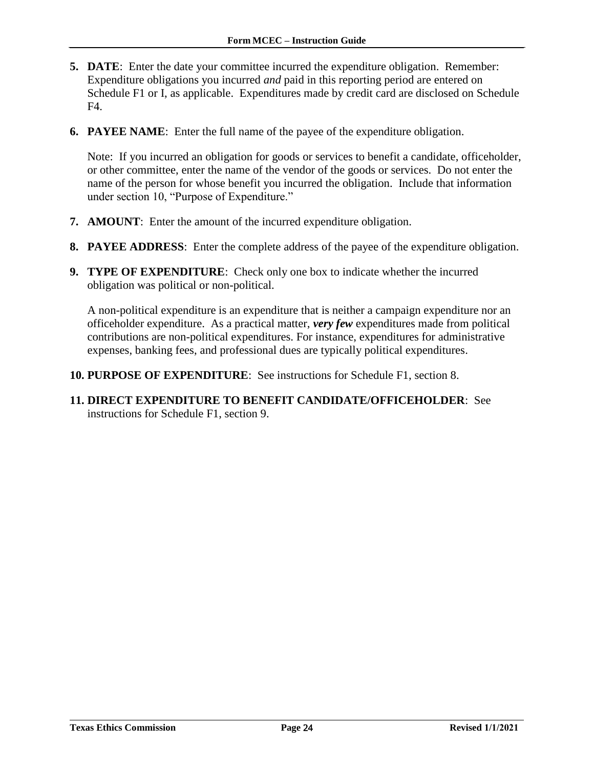- **5. DATE**: Enter the date your committee incurred the expenditure obligation. Remember: Expenditure obligations you incurred *and* paid in this reporting period are entered on Schedule F1 or I, as applicable. Expenditures made by credit card are disclosed on Schedule F4.
- **6. PAYEE NAME**: Enter the full name of the payee of the expenditure obligation.

Note: If you incurred an obligation for goods or services to benefit a candidate, officeholder, or other committee, enter the name of the vendor of the goods or services. Do not enter the name of the person for whose benefit you incurred the obligation. Include that information under section 10, "Purpose of Expenditure."

- **7. AMOUNT**: Enter the amount of the incurred expenditure obligation.
- **8. PAYEE ADDRESS**: Enter the complete address of the payee of the expenditure obligation.
- **9. TYPE OF EXPENDITURE**: Check only one box to indicate whether the incurred obligation was political or non-political.

A non-political expenditure is an expenditure that is neither a campaign expenditure nor an officeholder expenditure. As a practical matter, *very few* expenditures made from political contributions are non-political expenditures. For instance, expenditures for administrative expenses, banking fees, and professional dues are typically political expenditures.

- **10. PURPOSE OF EXPENDITURE**: See instructions for Schedule F1, section 8.
- **11. DIRECT EXPENDITURE TO BENEFIT CANDIDATE/OFFICEHOLDER**: See instructions for Schedule F1, section 9.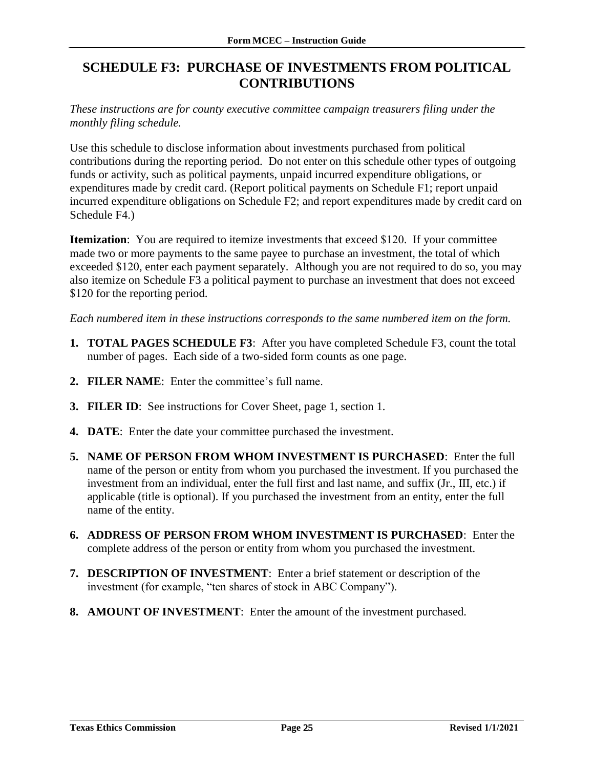# <span id="page-26-0"></span>**SCHEDULE F3: PURCHASE OF INVESTMENTS FROM POLITICAL CONTRIBUTIONS**

*These instructions are for county executive committee campaign treasurers filing under the monthly filing schedule.*

Use this schedule to disclose information about investments purchased from political contributions during the reporting period. Do not enter on this schedule other types of outgoing funds or activity, such as political payments, unpaid incurred expenditure obligations, or expenditures made by credit card. (Report political payments on Schedule F1; report unpaid incurred expenditure obligations on Schedule F2; and report expenditures made by credit card on Schedule F4.)

**Itemization**: You are required to itemize investments that exceed \$120. If your committee made two or more payments to the same payee to purchase an investment, the total of which exceeded \$120, enter each payment separately. Although you are not required to do so, you may also itemize on Schedule F3 a political payment to purchase an investment that does not exceed \$120 for the reporting period.

- **1. TOTAL PAGES SCHEDULE F3**: After you have completed Schedule F3, count the total number of pages. Each side of a two-sided form counts as one page.
- **2. FILER NAME**: Enter the committee's full name.
- **3. FILER ID**: See instructions for Cover Sheet, page 1, section 1.
- **4. DATE**: Enter the date your committee purchased the investment.
- **5. NAME OF PERSON FROM WHOM INVESTMENT IS PURCHASED**: Enter the full name of the person or entity from whom you purchased the investment. If you purchased the investment from an individual, enter the full first and last name, and suffix (Jr., III, etc.) if applicable (title is optional). If you purchased the investment from an entity, enter the full name of the entity.
- **6. ADDRESS OF PERSON FROM WHOM INVESTMENT IS PURCHASED**: Enter the complete address of the person or entity from whom you purchased the investment.
- **7. DESCRIPTION OF INVESTMENT**: Enter a brief statement or description of the investment (for example, "ten shares of stock in ABC Company").
- **8. AMOUNT OF INVESTMENT**: Enter the amount of the investment purchased.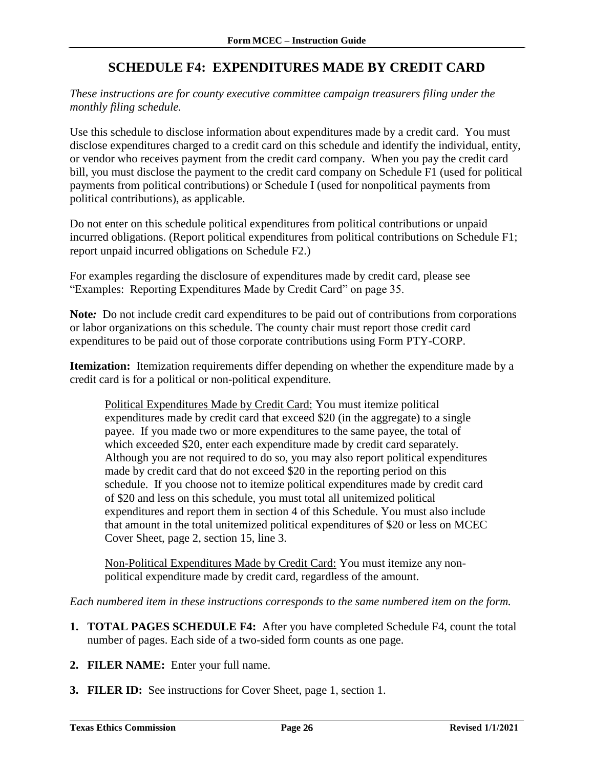# **SCHEDULE F4: EXPENDITURES MADE BY CREDIT CARD**

<span id="page-27-0"></span>*These instructions are for county executive committee campaign treasurers filing under the monthly filing schedule.*

Use this schedule to disclose information about expenditures made by a credit card. You must disclose expenditures charged to a credit card on this schedule and identify the individual, entity, or vendor who receives payment from the credit card company. When you pay the credit card bill, you must disclose the payment to the credit card company on Schedule F1 (used for political payments from political contributions) or Schedule I (used for nonpolitical payments from political contributions), as applicable.

Do not enter on this schedule political expenditures from political contributions or unpaid incurred obligations. (Report political expenditures from political contributions on Schedule F1; report unpaid incurred obligations on Schedule F2.)

For examples regarding the disclosure of expenditures made by credit card, please see "Examples: Reporting Expenditures Made by Credit Card" on page 35.

**Note***:* Do not include credit card expenditures to be paid out of contributions from corporations or labor organizations on this schedule. The county chair must report those credit card expenditures to be paid out of those corporate contributions using Form PTY-CORP.

**Itemization:** Itemization requirements differ depending on whether the expenditure made by a credit card is for a political or non-political expenditure.

Political Expenditures Made by Credit Card: You must itemize political expenditures made by credit card that exceed \$20 (in the aggregate) to a single payee. If you made two or more expenditures to the same payee, the total of which exceeded \$20, enter each expenditure made by credit card separately. Although you are not required to do so, you may also report political expenditures made by credit card that do not exceed \$20 in the reporting period on this schedule. If you choose not to itemize political expenditures made by credit card of \$20 and less on this schedule, you must total all unitemized political expenditures and report them in section 4 of this Schedule. You must also include that amount in the total unitemized political expenditures of \$20 or less on MCEC Cover Sheet, page 2, section 15, line 3.

Non-Political Expenditures Made by Credit Card: You must itemize any nonpolitical expenditure made by credit card, regardless of the amount.

- **1. TOTAL PAGES SCHEDULE F4:** After you have completed Schedule F4, count the total number of pages. Each side of a two-sided form counts as one page.
- **2. FILER NAME:** Enter your full name.
- **3. FILER ID:** See instructions for Cover Sheet, page 1, section 1.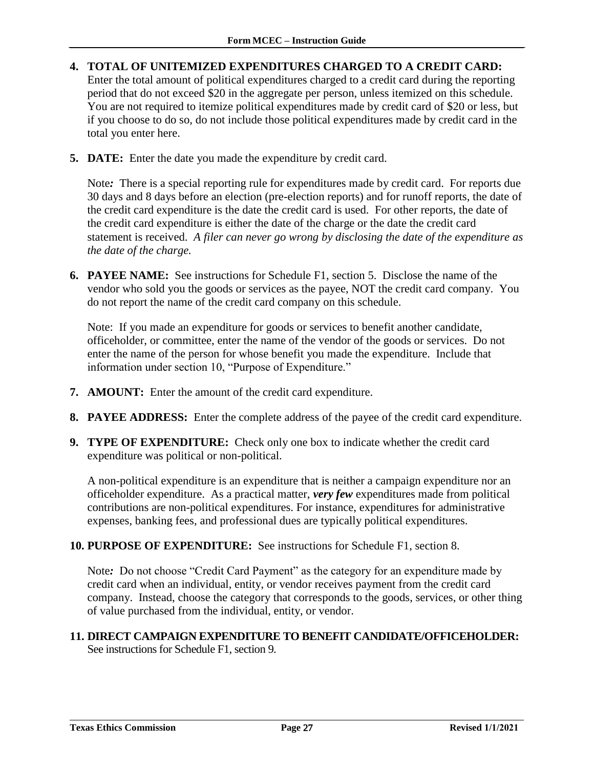- **4. TOTAL OF UNITEMIZED EXPENDITURES CHARGED TO A CREDIT CARD:** Enter the total amount of political expenditures charged to a credit card during the reporting period that do not exceed \$20 in the aggregate per person, unless itemized on this schedule. You are not required to itemize political expenditures made by credit card of \$20 or less, but if you choose to do so, do not include those political expenditures made by credit card in the total you enter here.
- **5. DATE:** Enter the date you made the expenditure by credit card.

Note*:* There is a special reporting rule for expenditures made by credit card. For reports due 30 days and 8 days before an election (pre-election reports) and for runoff reports, the date of the credit card expenditure is the date the credit card is used. For other reports, the date of the credit card expenditure is either the date of the charge or the date the credit card statement is received. *A filer can never go wrong by disclosing the date of the expenditure as the date of the charge.*

**6. PAYEE NAME:** See instructions for Schedule F1, section 5. Disclose the name of the vendor who sold you the goods or services as the payee, NOT the credit card company. You do not report the name of the credit card company on this schedule.

Note: If you made an expenditure for goods or services to benefit another candidate, officeholder, or committee, enter the name of the vendor of the goods or services. Do not enter the name of the person for whose benefit you made the expenditure. Include that information under section 10, "Purpose of Expenditure."

- **7. AMOUNT:** Enter the amount of the credit card expenditure.
- **8. PAYEE ADDRESS:** Enter the complete address of the payee of the credit card expenditure.
- **9. TYPE OF EXPENDITURE:** Check only one box to indicate whether the credit card expenditure was political or non-political.

A non-political expenditure is an expenditure that is neither a campaign expenditure nor an officeholder expenditure. As a practical matter, *very few* expenditures made from political contributions are non-political expenditures. For instance, expenditures for administrative expenses, banking fees, and professional dues are typically political expenditures.

**10. PURPOSE OF EXPENDITURE:** See instructions for Schedule F1, section 8.

Note*:* Do not choose "Credit Card Payment" as the category for an expenditure made by credit card when an individual, entity, or vendor receives payment from the credit card company. Instead, choose the category that corresponds to the goods, services, or other thing of value purchased from the individual, entity, or vendor.

**11. DIRECT CAMPAIGN EXPENDITURE TO BENEFIT CANDIDATE/OFFICEHOLDER:** See instructions for Schedule F1, section 9.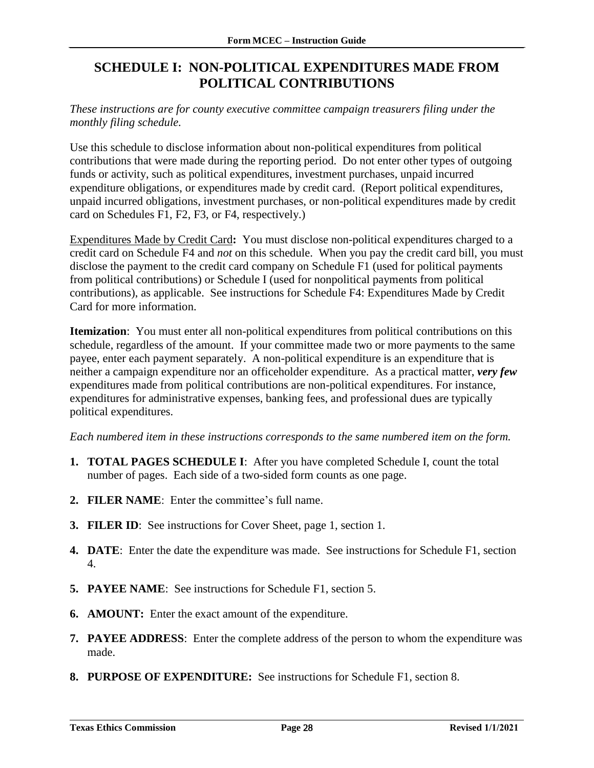# <span id="page-29-0"></span>**SCHEDULE I: NON-POLITICAL EXPENDITURES MADE FROM POLITICAL CONTRIBUTIONS**

#### *These instructions are for county executive committee campaign treasurers filing under the monthly filing schedule.*

Use this schedule to disclose information about non-political expenditures from political contributions that were made during the reporting period. Do not enter other types of outgoing funds or activity, such as political expenditures, investment purchases, unpaid incurred expenditure obligations, or expenditures made by credit card. (Report political expenditures, unpaid incurred obligations, investment purchases, or non-political expenditures made by credit card on Schedules F1, F2, F3, or F4, respectively.)

Expenditures Made by Credit Card**:** You must disclose non-political expenditures charged to a credit card on Schedule F4 and *not* on this schedule. When you pay the credit card bill, you must disclose the payment to the credit card company on Schedule F1 (used for political payments from political contributions) or Schedule I (used for nonpolitical payments from political contributions), as applicable. See instructions for Schedule F4: Expenditures Made by Credit Card for more information.

**Itemization**: You must enter all non-political expenditures from political contributions on this schedule, regardless of the amount. If your committee made two or more payments to the same payee, enter each payment separately. A non-political expenditure is an expenditure that is neither a campaign expenditure nor an officeholder expenditure. As a practical matter, *very few* expenditures made from political contributions are non-political expenditures. For instance, expenditures for administrative expenses, banking fees, and professional dues are typically political expenditures.

- **1. TOTAL PAGES SCHEDULE I**: After you have completed Schedule I, count the total number of pages. Each side of a two-sided form counts as one page.
- **2. FILER NAME**: Enter the committee's full name.
- **3. FILER ID**: See instructions for Cover Sheet, page 1, section 1.
- **4. DATE**: Enter the date the expenditure was made. See instructions for Schedule F1, section 4.
- **5. PAYEE NAME**: See instructions for Schedule F1, section 5.
- **6. AMOUNT:** Enter the exact amount of the expenditure.
- **7. PAYEE ADDRESS**: Enter the complete address of the person to whom the expenditure was made.
- **8. PURPOSE OF EXPENDITURE:** See instructions for Schedule F1, section 8.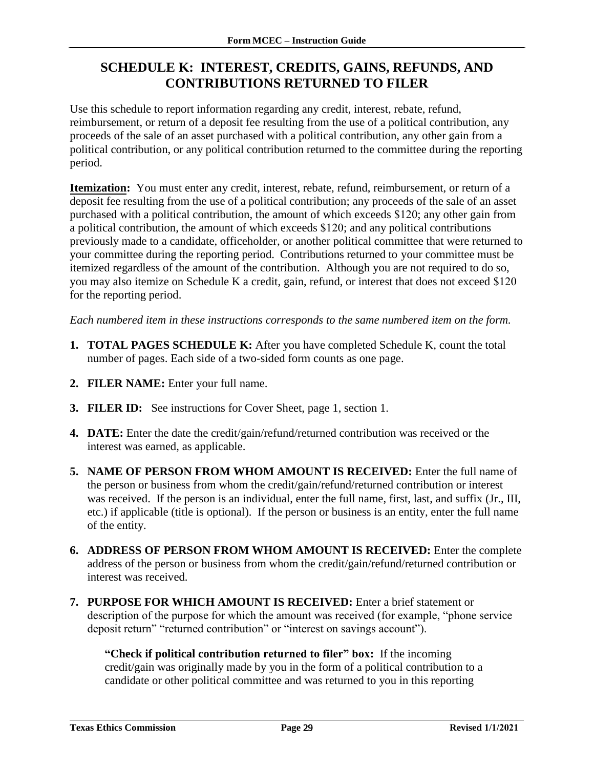# <span id="page-30-0"></span>**SCHEDULE K: INTEREST, CREDITS, GAINS, REFUNDS, AND CONTRIBUTIONS RETURNED TO FILER**

Use this schedule to report information regarding any credit, interest, rebate, refund, reimbursement, or return of a deposit fee resulting from the use of a political contribution, any proceeds of the sale of an asset purchased with a political contribution, any other gain from a political contribution, or any political contribution returned to the committee during the reporting period.

**Itemization:** You must enter any credit, interest, rebate, refund, reimbursement, or return of a deposit fee resulting from the use of a political contribution; any proceeds of the sale of an asset purchased with a political contribution, the amount of which exceeds \$120; any other gain from a political contribution, the amount of which exceeds \$120; and any political contributions previously made to a candidate, officeholder, or another political committee that were returned to your committee during the reporting period. Contributions returned to your committee must be itemized regardless of the amount of the contribution. Although you are not required to do so, you may also itemize on Schedule K a credit, gain, refund, or interest that does not exceed \$120 for the reporting period.

*Each numbered item in these instructions corresponds to the same numbered item on the form.*

- **1. TOTAL PAGES SCHEDULE K:** After you have completed Schedule K, count the total number of pages. Each side of a two-sided form counts as one page.
- **2. FILER NAME:** Enter your full name.
- **3. FILER ID:** See instructions for Cover Sheet, page 1, section 1.
- **4. DATE:** Enter the date the credit/gain/refund/returned contribution was received or the interest was earned, as applicable.
- **5. NAME OF PERSON FROM WHOM AMOUNT IS RECEIVED:** Enter the full name of the person or business from whom the credit/gain/refund/returned contribution or interest was received. If the person is an individual, enter the full name, first, last, and suffix (Jr., III, etc.) if applicable (title is optional). If the person or business is an entity, enter the full name of the entity.
- **6. ADDRESS OF PERSON FROM WHOM AMOUNT IS RECEIVED:** Enter the complete address of the person or business from whom the credit/gain/refund/returned contribution or interest was received.
- **7. PURPOSE FOR WHICH AMOUNT IS RECEIVED:** Enter a brief statement or description of the purpose for which the amount was received (for example, "phone service deposit return" "returned contribution" or "interest on savings account").

**"Check if political contribution returned to filer" box:** If the incoming credit/gain was originally made by you in the form of a political contribution to a candidate or other political committee and was returned to you in this reporting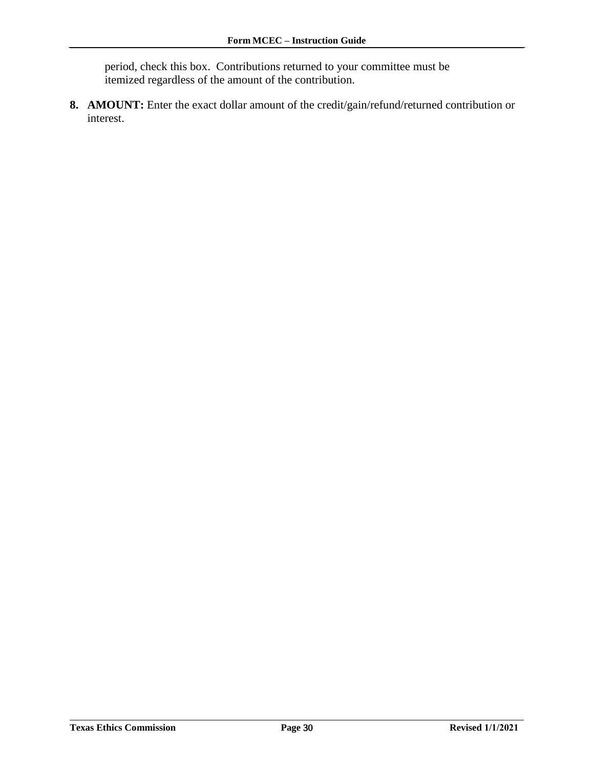period, check this box. Contributions returned to your committee must be itemized regardless of the amount of the contribution.

**8. AMOUNT:** Enter the exact dollar amount of the credit/gain/refund/returned contribution or interest.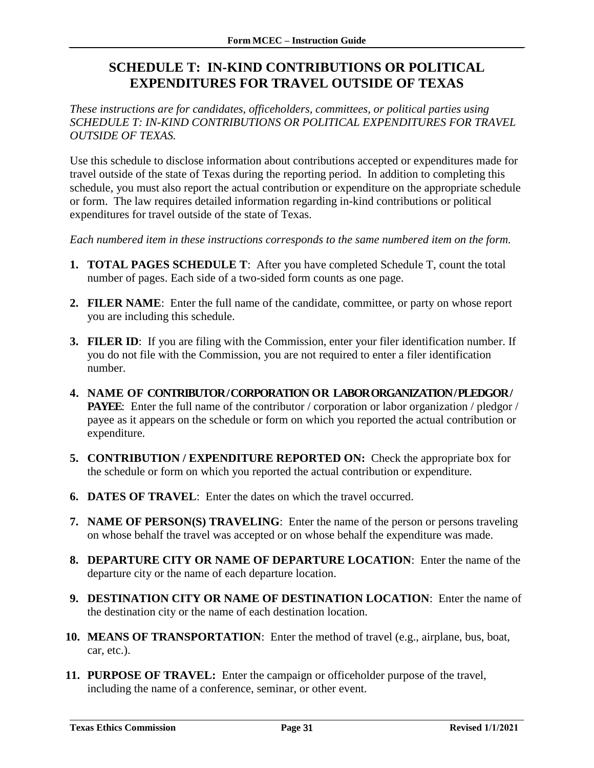# <span id="page-32-0"></span>**SCHEDULE T: IN-KIND CONTRIBUTIONS OR POLITICAL EXPENDITURES FOR TRAVEL OUTSIDE OF TEXAS**

*These instructions are for candidates, officeholders, committees, or political parties using SCHEDULE T: IN-KIND CONTRIBUTIONS OR POLITICAL EXPENDITURES FOR TRAVEL OUTSIDE OF TEXAS.*

Use this schedule to disclose information about contributions accepted or expenditures made for travel outside of the state of Texas during the reporting period. In addition to completing this schedule, you must also report the actual contribution or expenditure on the appropriate schedule or form. The law requires detailed information regarding in-kind contributions or political expenditures for travel outside of the state of Texas.

- **1. TOTAL PAGES SCHEDULE T**: After you have completed Schedule T, count the total number of pages. Each side of a two-sided form counts as one page.
- **2. FILER NAME**: Enter the full name of the candidate, committee, or party on whose report you are including this schedule.
- **3. FILER ID**: If you are filing with the Commission, enter your filer identification number. If you do not file with the Commission, you are not required to enter a filer identification number.
- **4. NAME OF CONTRIBUTOR / CORPORATION OR LABOR ORGANIZATION / PLEDGOR / PAYEE**: Enter the full name of the contributor / corporation or labor organization / pledgor / payee as it appears on the schedule or form on which you reported the actual contribution or expenditure.
- **5. CONTRIBUTION / EXPENDITURE REPORTED ON:** Check the appropriate box for the schedule or form on which you reported the actual contribution or expenditure.
- **6. DATES OF TRAVEL**: Enter the dates on which the travel occurred.
- **7. NAME OF PERSON(S) TRAVELING**: Enter the name of the person or persons traveling on whose behalf the travel was accepted or on whose behalf the expenditure was made.
- **8. DEPARTURE CITY OR NAME OF DEPARTURE LOCATION**: Enter the name of the departure city or the name of each departure location.
- **9. DESTINATION CITY OR NAME OF DESTINATION LOCATION**: Enter the name of the destination city or the name of each destination location.
- **10. MEANS OF TRANSPORTATION**: Enter the method of travel (e.g., airplane, bus, boat, car, etc.).
- **11. PURPOSE OF TRAVEL:** Enter the campaign or officeholder purpose of the travel, including the name of a conference, seminar, or other event.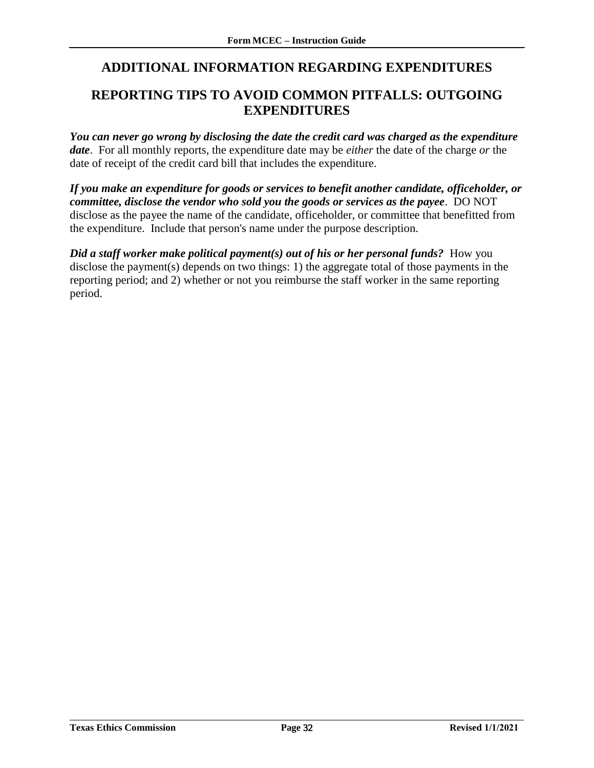# <span id="page-33-0"></span>**ADDITIONAL INFORMATION REGARDING EXPENDITURES**

### <span id="page-33-1"></span>**REPORTING TIPS TO AVOID COMMON PITFALLS: OUTGOING EXPENDITURES**

*You can never go wrong by disclosing the date the credit card was charged as the expenditure date*. For all monthly reports, the expenditure date may be *either* the date of the charge *or* the date of receipt of the credit card bill that includes the expenditure.

*If you make an expenditure for goods or services to benefit another candidate, officeholder, or committee, disclose the vendor who sold you the goods or services as the payee*. DO NOT disclose as the payee the name of the candidate, officeholder, or committee that benefitted from the expenditure. Include that person's name under the purpose description.

*Did a staff worker make political payment(s) out of his or her personal funds?* **How you** disclose the payment(s) depends on two things: 1) the aggregate total of those payments in the reporting period; and 2) whether or not you reimburse the staff worker in the same reporting period.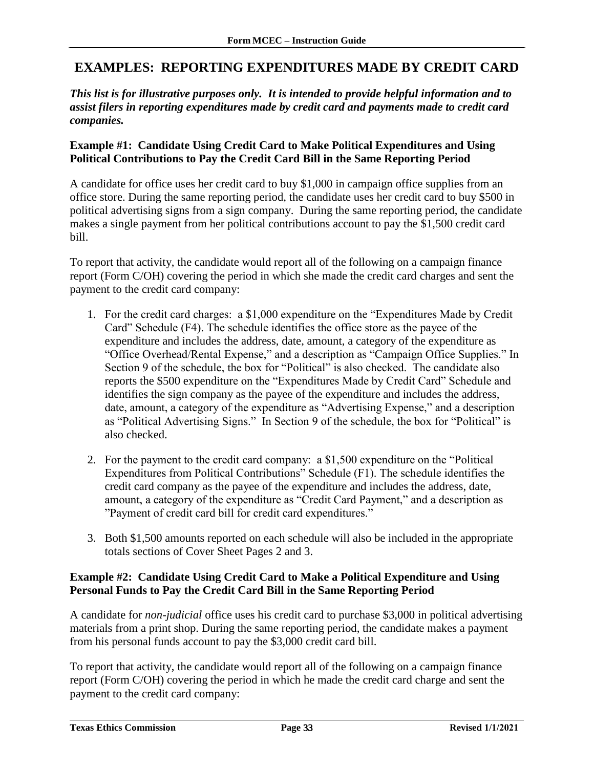### <span id="page-34-0"></span>**EXAMPLES: REPORTING EXPENDITURES MADE BY CREDIT CARD**

*This list is for illustrative purposes only. It is intended to provide helpful information and to assist filers in reporting expenditures made by credit card and payments made to credit card companies.*

#### **Example #1: Candidate Using Credit Card to Make Political Expenditures and Using Political Contributions to Pay the Credit Card Bill in the Same Reporting Period**

A candidate for office uses her credit card to buy \$1,000 in campaign office supplies from an office store. During the same reporting period, the candidate uses her credit card to buy \$500 in political advertising signs from a sign company. During the same reporting period, the candidate makes a single payment from her political contributions account to pay the \$1,500 credit card bill.

To report that activity, the candidate would report all of the following on a campaign finance report (Form C/OH) covering the period in which she made the credit card charges and sent the payment to the credit card company:

- 1. For the credit card charges: a \$1,000 expenditure on the "Expenditures Made by Credit Card" Schedule (F4). The schedule identifies the office store as the payee of the expenditure and includes the address, date, amount, a category of the expenditure as "Office Overhead/Rental Expense," and a description as "Campaign Office Supplies." In Section 9 of the schedule, the box for "Political" is also checked. The candidate also reports the \$500 expenditure on the "Expenditures Made by Credit Card" Schedule and identifies the sign company as the payee of the expenditure and includes the address, date, amount, a category of the expenditure as "Advertising Expense," and a description as "Political Advertising Signs." In Section 9 of the schedule, the box for "Political" is also checked.
- 2. For the payment to the credit card company: a \$1,500 expenditure on the "Political Expenditures from Political Contributions" Schedule (F1). The schedule identifies the credit card company as the payee of the expenditure and includes the address, date, amount, a category of the expenditure as "Credit Card Payment," and a description as "Payment of credit card bill for credit card expenditures."
- 3. Both \$1,500 amounts reported on each schedule will also be included in the appropriate totals sections of Cover Sheet Pages 2 and 3.

#### **Example #2: Candidate Using Credit Card to Make a Political Expenditure and Using Personal Funds to Pay the Credit Card Bill in the Same Reporting Period**

A candidate for *non-judicial* office uses his credit card to purchase \$3,000 in political advertising materials from a print shop. During the same reporting period, the candidate makes a payment from his personal funds account to pay the \$3,000 credit card bill.

To report that activity, the candidate would report all of the following on a campaign finance report (Form C/OH) covering the period in which he made the credit card charge and sent the payment to the credit card company: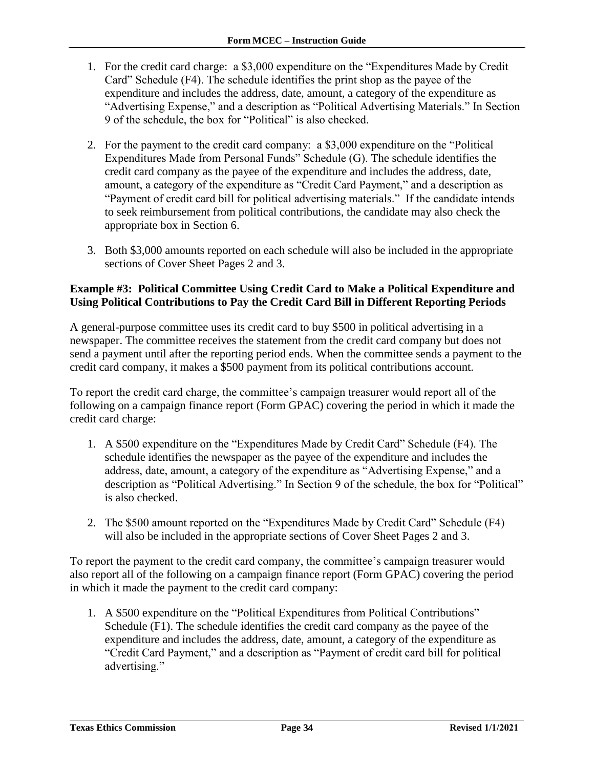- 1. For the credit card charge: a \$3,000 expenditure on the "Expenditures Made by Credit Card" Schedule (F4). The schedule identifies the print shop as the payee of the expenditure and includes the address, date, amount, a category of the expenditure as "Advertising Expense," and a description as "Political Advertising Materials." In Section 9 of the schedule, the box for "Political" is also checked.
- 2. For the payment to the credit card company: a \$3,000 expenditure on the "Political Expenditures Made from Personal Funds" Schedule (G). The schedule identifies the credit card company as the payee of the expenditure and includes the address, date, amount, a category of the expenditure as "Credit Card Payment," and a description as "Payment of credit card bill for political advertising materials." If the candidate intends to seek reimbursement from political contributions, the candidate may also check the appropriate box in Section 6.
- 3. Both \$3,000 amounts reported on each schedule will also be included in the appropriate sections of Cover Sheet Pages 2 and 3.

#### **Example #3: Political Committee Using Credit Card to Make a Political Expenditure and Using Political Contributions to Pay the Credit Card Bill in Different Reporting Periods**

A general-purpose committee uses its credit card to buy \$500 in political advertising in a newspaper. The committee receives the statement from the credit card company but does not send a payment until after the reporting period ends. When the committee sends a payment to the credit card company, it makes a \$500 payment from its political contributions account.

To report the credit card charge, the committee's campaign treasurer would report all of the following on a campaign finance report (Form GPAC) covering the period in which it made the credit card charge:

- 1. A \$500 expenditure on the "Expenditures Made by Credit Card" Schedule (F4). The schedule identifies the newspaper as the payee of the expenditure and includes the address, date, amount, a category of the expenditure as "Advertising Expense," and a description as "Political Advertising." In Section 9 of the schedule, the box for "Political" is also checked.
- 2. The \$500 amount reported on the "Expenditures Made by Credit Card" Schedule (F4) will also be included in the appropriate sections of Cover Sheet Pages 2 and 3.

To report the payment to the credit card company, the committee's campaign treasurer would also report all of the following on a campaign finance report (Form GPAC) covering the period in which it made the payment to the credit card company:

1. A \$500 expenditure on the "Political Expenditures from Political Contributions" Schedule (F1). The schedule identifies the credit card company as the payee of the expenditure and includes the address, date, amount, a category of the expenditure as "Credit Card Payment," and a description as "Payment of credit card bill for political advertising."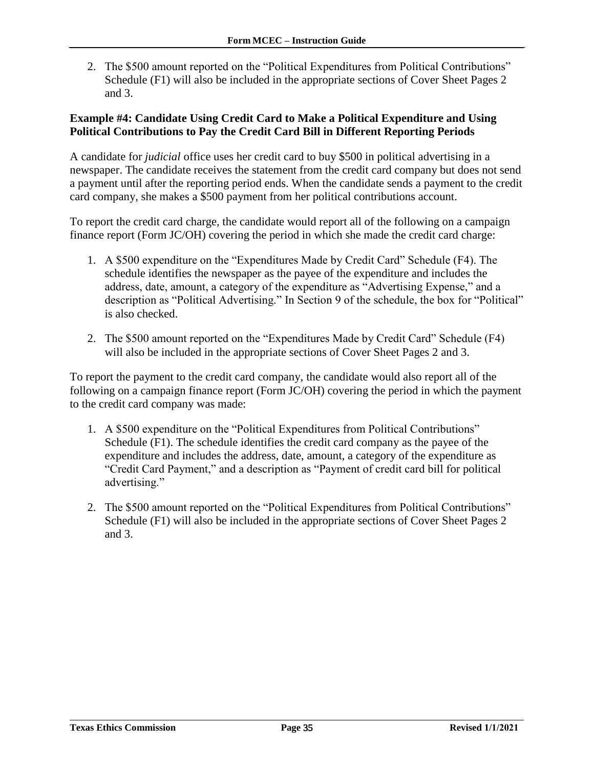2. The \$500 amount reported on the "Political Expenditures from Political Contributions" Schedule (F1) will also be included in the appropriate sections of Cover Sheet Pages 2 and 3.

#### **Example #4: Candidate Using Credit Card to Make a Political Expenditure and Using Political Contributions to Pay the Credit Card Bill in Different Reporting Periods**

A candidate for *judicial* office uses her credit card to buy \$500 in political advertising in a newspaper. The candidate receives the statement from the credit card company but does not send a payment until after the reporting period ends. When the candidate sends a payment to the credit card company, she makes a \$500 payment from her political contributions account.

To report the credit card charge, the candidate would report all of the following on a campaign finance report (Form JC/OH) covering the period in which she made the credit card charge:

- 1. A \$500 expenditure on the "Expenditures Made by Credit Card" Schedule (F4). The schedule identifies the newspaper as the payee of the expenditure and includes the address, date, amount, a category of the expenditure as "Advertising Expense," and a description as "Political Advertising." In Section 9 of the schedule, the box for "Political" is also checked.
- 2. The \$500 amount reported on the "Expenditures Made by Credit Card" Schedule (F4) will also be included in the appropriate sections of Cover Sheet Pages 2 and 3.

To report the payment to the credit card company, the candidate would also report all of the following on a campaign finance report (Form JC/OH) covering the period in which the payment to the credit card company was made:

- 1. A \$500 expenditure on the "Political Expenditures from Political Contributions" Schedule (F1). The schedule identifies the credit card company as the payee of the expenditure and includes the address, date, amount, a category of the expenditure as "Credit Card Payment," and a description as "Payment of credit card bill for political advertising."
- 2. The \$500 amount reported on the "Political Expenditures from Political Contributions" Schedule (F1) will also be included in the appropriate sections of Cover Sheet Pages 2 and 3.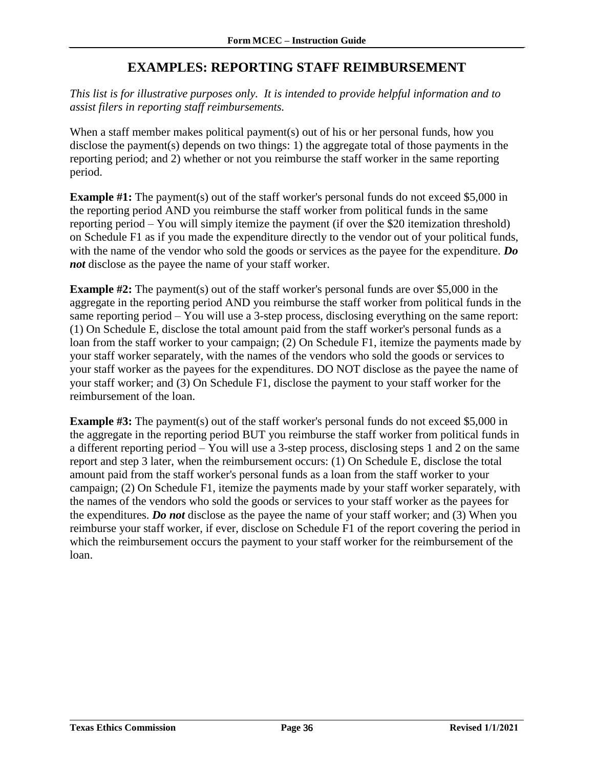# **EXAMPLES: REPORTING STAFF REIMBURSEMENT**

<span id="page-37-0"></span>*This list is for illustrative purposes only. It is intended to provide helpful information and to assist filers in reporting staff reimbursements.*

When a staff member makes political payment(s) out of his or her personal funds, how you disclose the payment(s) depends on two things: 1) the aggregate total of those payments in the reporting period; and 2) whether or not you reimburse the staff worker in the same reporting period.

**Example #1:** The payment(s) out of the staff worker's personal funds do not exceed \$5,000 in the reporting period AND you reimburse the staff worker from political funds in the same reporting period – You will simply itemize the payment (if over the \$20 itemization threshold) on Schedule F1 as if you made the expenditure directly to the vendor out of your political funds, with the name of the vendor who sold the goods or services as the payee for the expenditure. *Do not* disclose as the payee the name of your staff worker.

**Example #2:** The payment(s) out of the staff worker's personal funds are over \$5,000 in the aggregate in the reporting period AND you reimburse the staff worker from political funds in the same reporting period – You will use a 3-step process, disclosing everything on the same report: (1) On Schedule E, disclose the total amount paid from the staff worker's personal funds as a loan from the staff worker to your campaign; (2) On Schedule F1, itemize the payments made by your staff worker separately, with the names of the vendors who sold the goods or services to your staff worker as the payees for the expenditures. DO NOT disclose as the payee the name of your staff worker; and (3) On Schedule F1, disclose the payment to your staff worker for the reimbursement of the loan.

**Example #3:** The payment(s) out of the staff worker's personal funds do not exceed \$5,000 in the aggregate in the reporting period BUT you reimburse the staff worker from political funds in a different reporting period – You will use a 3-step process, disclosing steps 1 and 2 on the same report and step 3 later, when the reimbursement occurs: (1) On Schedule E, disclose the total amount paid from the staff worker's personal funds as a loan from the staff worker to your campaign; (2) On Schedule F1, itemize the payments made by your staff worker separately, with the names of the vendors who sold the goods or services to your staff worker as the payees for the expenditures. *Do not* disclose as the payee the name of your staff worker; and (3) When you reimburse your staff worker, if ever, disclose on Schedule F1 of the report covering the period in which the reimbursement occurs the payment to your staff worker for the reimbursement of the loan.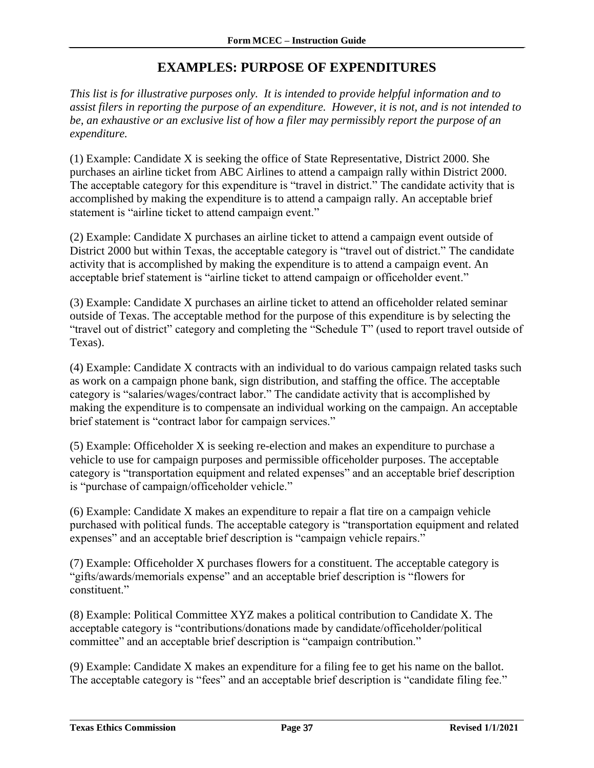### **EXAMPLES: PURPOSE OF EXPENDITURES**

<span id="page-38-0"></span>*This list is for illustrative purposes only. It is intended to provide helpful information and to assist filers in reporting the purpose of an expenditure. However, it is not, and is not intended to be, an exhaustive or an exclusive list of how a filer may permissibly report the purpose of an expenditure.*

(1) Example: Candidate X is seeking the office of State Representative, District 2000. She purchases an airline ticket from ABC Airlines to attend a campaign rally within District 2000. The acceptable category for this expenditure is "travel in district." The candidate activity that is accomplished by making the expenditure is to attend a campaign rally. An acceptable brief statement is "airline ticket to attend campaign event."

(2) Example: Candidate X purchases an airline ticket to attend a campaign event outside of District 2000 but within Texas, the acceptable category is "travel out of district." The candidate activity that is accomplished by making the expenditure is to attend a campaign event. An acceptable brief statement is "airline ticket to attend campaign or officeholder event."

(3) Example: Candidate X purchases an airline ticket to attend an officeholder related seminar outside of Texas. The acceptable method for the purpose of this expenditure is by selecting the "travel out of district" category and completing the "Schedule T" (used to report travel outside of Texas).

(4) Example: Candidate X contracts with an individual to do various campaign related tasks such as work on a campaign phone bank, sign distribution, and staffing the office. The acceptable category is "salaries/wages/contract labor." The candidate activity that is accomplished by making the expenditure is to compensate an individual working on the campaign. An acceptable brief statement is "contract labor for campaign services."

(5) Example: Officeholder X is seeking re-election and makes an expenditure to purchase a vehicle to use for campaign purposes and permissible officeholder purposes. The acceptable category is "transportation equipment and related expenses" and an acceptable brief description is "purchase of campaign/officeholder vehicle."

(6) Example: Candidate X makes an expenditure to repair a flat tire on a campaign vehicle purchased with political funds. The acceptable category is "transportation equipment and related expenses" and an acceptable brief description is "campaign vehicle repairs."

(7) Example: Officeholder X purchases flowers for a constituent. The acceptable category is "gifts/awards/memorials expense" and an acceptable brief description is "flowers for constituent."

(8) Example: Political Committee XYZ makes a political contribution to Candidate X. The acceptable category is "contributions/donations made by candidate/officeholder/political committee" and an acceptable brief description is "campaign contribution."

(9) Example: Candidate X makes an expenditure for a filing fee to get his name on the ballot. The acceptable category is "fees" and an acceptable brief description is "candidate filing fee."